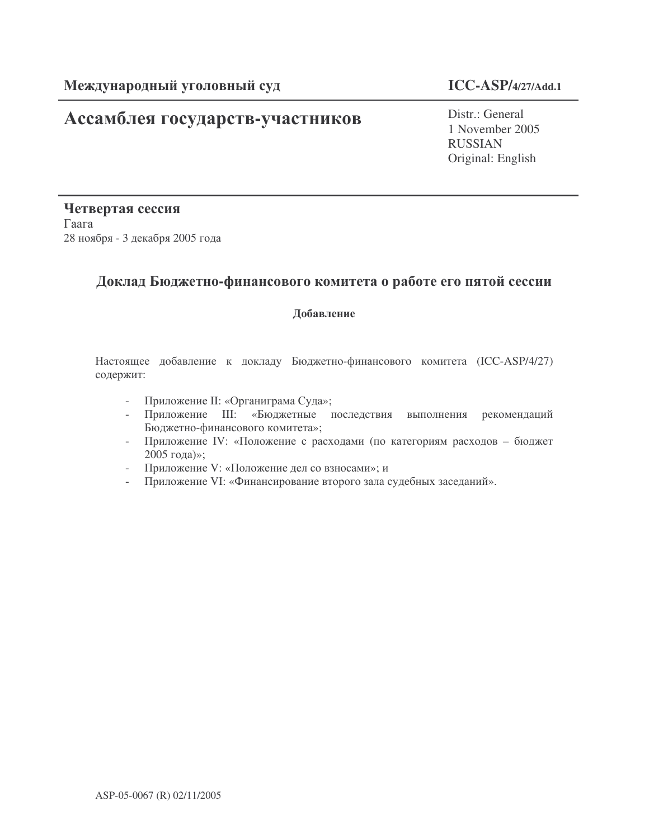# **Ассамблея государств-участников**

**ICC-ASP/4/27/Add.1**

Distr.: General 1 November 2005 RUSSIAN Original: English

Четвертая сессия  $\Gamma$ аага 28 ноября - 3 декабря 2005 года

## Доклад Бюджетно-финансового комитета о работе его пятой сессии

Добавление

Настоящее добавление к докладу Бюджетно-финансового комитета (ICC-ASP/4/27) содержит:

- Приложение II: «Органиграма Суда»;
- Приложение III: «Бюджетные последствия выполнения рекомендаций Бюджетно-финансового комитета»;
- Приложение IV: «Положение с расходами (по категориям расходов бюджет 2005 года)»;
- Приложение V: «Положение дел со взносами»; и
- Приложение VI: «Финансирование второго зала судебных заседаний».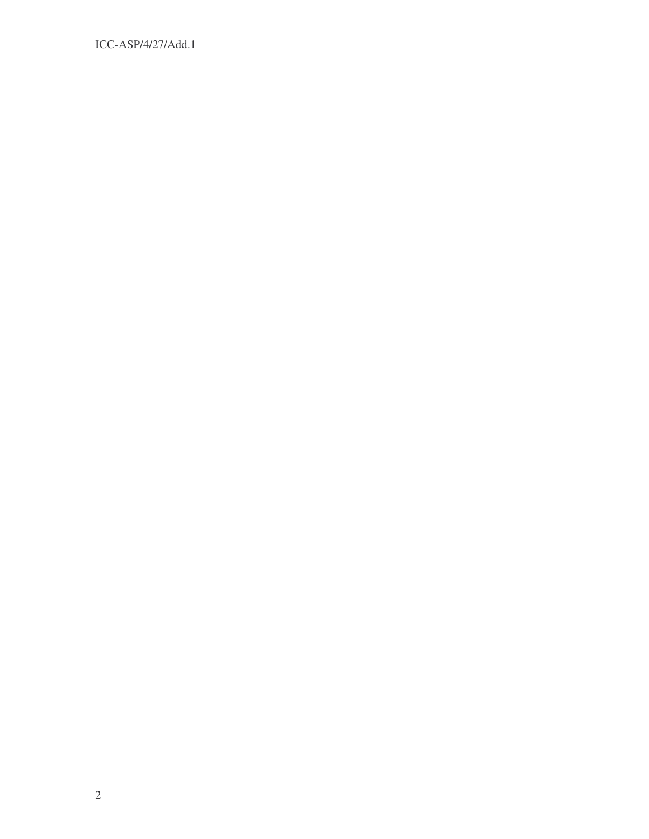ICC-ASP/4/27/Add.1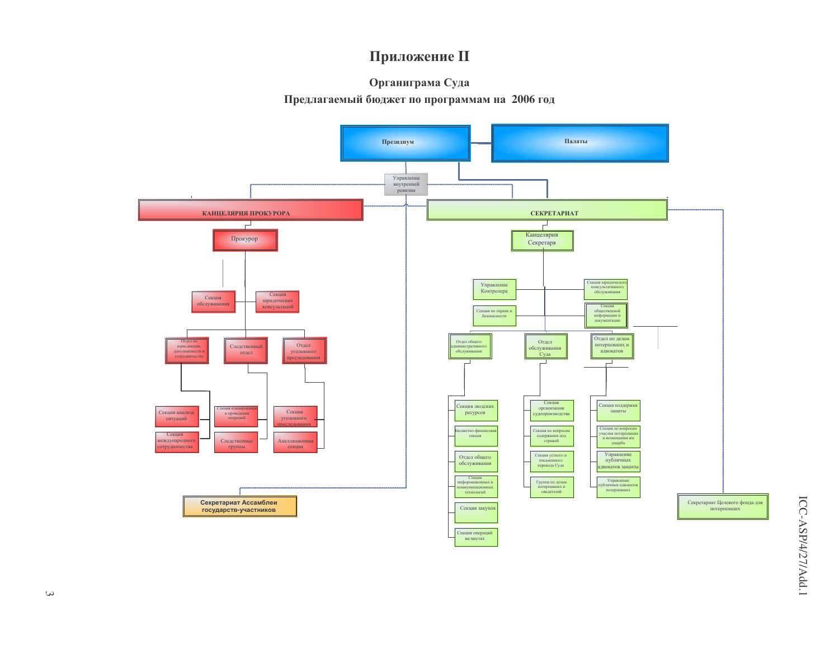# Приложение II

### Органиграма Суда

Предлагаемый бюджет по программам на 2006 год

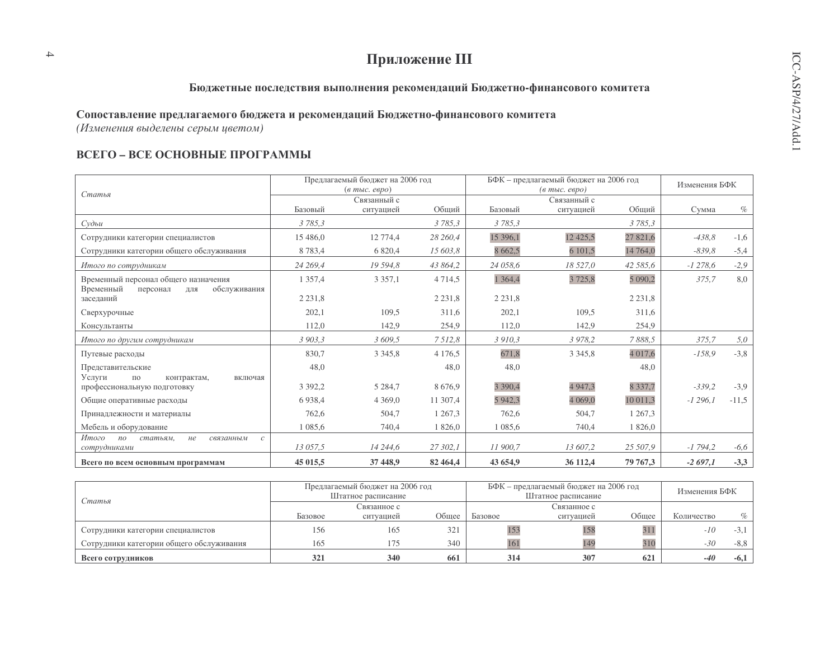## Приложение III

#### Бюджетные последствия выполнения рекомендаций Бюджетно-финансового комитета

#### Сопоставление предлагаемого бюджета и рекомендаций Бюджетно-финансового комитета

(Изменения выделены серым цветом)

#### ВСЕГО – ВСЕ ОСНОВНЫЕ ПРОГРАММЫ

|                                                                                      |             | Предлагаемый бюджет на 2006 год<br>$(a \text{ mol}c, \text{ espo})$ |             |             | БФК - предлагаемый бюджет на 2006 год<br>$(a \text{ molc.} \text{ espo})$ |             | Изменения БФК |         |
|--------------------------------------------------------------------------------------|-------------|---------------------------------------------------------------------|-------------|-------------|---------------------------------------------------------------------------|-------------|---------------|---------|
| Статья                                                                               |             | Связанный с                                                         |             |             | Связанный с                                                               |             |               |         |
|                                                                                      | Базовый     | ситуацией                                                           | Общий       | Базовый     | ситуацией                                                                 | Общий       | Сумма         | %       |
| Судьи                                                                                | 3 7 8 5 , 3 |                                                                     | 3 785,3     | 3 785.3     |                                                                           | 3 785,3     |               |         |
| Сотрудники категории специалистов                                                    | 15 486,0    | 12 774,4                                                            | 28 260,4    | 15 396,1    | 12 4 25,5                                                                 | 27 821,6    | $-438,8$      | $-1,6$  |
| Сотрудники категории общего обслуживания                                             | 8 7 8 3, 4  | 6 8 2 0 , 4                                                         | 15 603,8    | 8 6 6 2.5   | 6 101,5                                                                   | 14 764,0    | $-839.8$      | $-5,4$  |
| Итого по сотрудникам                                                                 | 24 269.4    | 19 594,8                                                            | 43 864,2    | 24 058,6    | 18 527,0                                                                  | 42 585.6    | $-1278.6$     | $-2,9$  |
| Временный персонал общего назначения<br>Временный<br>персонал<br>обслуживания<br>ДЛЯ | 1 3 5 7 .4  | 3 3 5 7 , 1                                                         | 4 7 1 4 5   | 1 3 6 4 , 4 | 3725,8                                                                    | 5 0 9 0, 2  | 375,7         | 8,0     |
| заседаний                                                                            | 2 2 3 1 , 8 |                                                                     | 2 2 3 1 , 8 | 2 2 3 1,8   |                                                                           | 2 2 3 1,8   |               |         |
| Сверхурочные                                                                         | 202,1       | 109.5                                                               | 311,6       | 202,1       | 109,5                                                                     | 311,6       |               |         |
| Консультанты                                                                         | 112.0       | 142.9                                                               | 254,9       | 112.0       | 142.9                                                                     | 254.9       |               |         |
| Итого по другим сотрудникам                                                          | 3 903,3     | 3 609,5                                                             | 7512,8      | 3 9 10, 3   | 3 978,2                                                                   | 7888,5      | 375,7         | 5,0     |
| Путевые расходы                                                                      | 830,7       | 3 3 4 5 , 8                                                         | 4 1 7 6 .5  | 671,8       | 3 3 4 5 , 8                                                               | 4 017,6     | $-158,9$      | $-3,8$  |
| Представительские                                                                    | 48,0        |                                                                     | 48,0        | 48,0        |                                                                           | 48,0        |               |         |
| Услуги<br>по<br>контрактам,<br>включая                                               | 3 3 9 2 . 2 | 5 2 8 4 , 7                                                         | 8676.9      | 3 3 9 0, 4  | 4 9 4 7, 3                                                                | 8 3 3 7 , 7 | $-339,2$      | $-3,9$  |
| профессиональную подготовку                                                          |             |                                                                     |             |             |                                                                           |             |               |         |
| Общие оперативные расходы                                                            | 6938,4      | 4 3 6 9 0                                                           | 11 307,4    | 5 9 4 2, 3  | 4 0 6 9, 0                                                                | 10 011,3    | $-1296.1$     | $-11,5$ |
| Принадлежности и материалы                                                           | 762,6       | 504.7                                                               | 1 267,3     | 762.6       | 504,7                                                                     | 1 267,3     |               |         |
| Мебель и оборудование                                                                | 1 085,6     | 740,4                                                               | 1 826,0     | 1 085,6     | 740,4                                                                     | 1 826,0     |               |         |
| Итого<br>$n_{O}$<br>He<br>статьям,<br>связанным<br>$\mathcal{C}$                     | 13 057,5    | 14 244,6                                                            | 27 302,1    | 11 900,7    | 13 607,2                                                                  | 25 507,9    | $-1794,2$     | $-6,6$  |
| сотрудниками                                                                         |             |                                                                     |             |             |                                                                           |             |               |         |
| Всего по всем основным программам                                                    | 45 015,5    | 37 448,9                                                            | 82 464,4    | 43 654,9    | 36 112,4                                                                  | 79 767,3    | $-2697,1$     | $-3,3$  |

| Статья                                   | Предлагаемый бюджет на 2006 год<br>Штатное расписание |           |       |             | БФК – предлагаемый бюджет на 2006 год<br>Штатное расписание |       | Изменения БФК |        |
|------------------------------------------|-------------------------------------------------------|-----------|-------|-------------|-------------------------------------------------------------|-------|---------------|--------|
|                                          | Связанное с                                           |           |       | Связанное с |                                                             |       |               |        |
|                                          | Базовое                                               | ситуацией | Обшее | Базовое     | ситуацией                                                   | Обшее | Количество    |        |
| Сотрудники категории специалистов        | 156                                                   | 165       | 321   | 153         | 158                                                         | 311   | $-10$         |        |
| Сотрудники категории общего обслуживания | 165                                                   | 175       | 340   | 161         | 149                                                         | 310   | $-30$         | $-8.8$ |
| Всего сотрудников                        | 321                                                   | 340       | 661   | 314         | 307                                                         | 621   | $-40$         | $-6.1$ |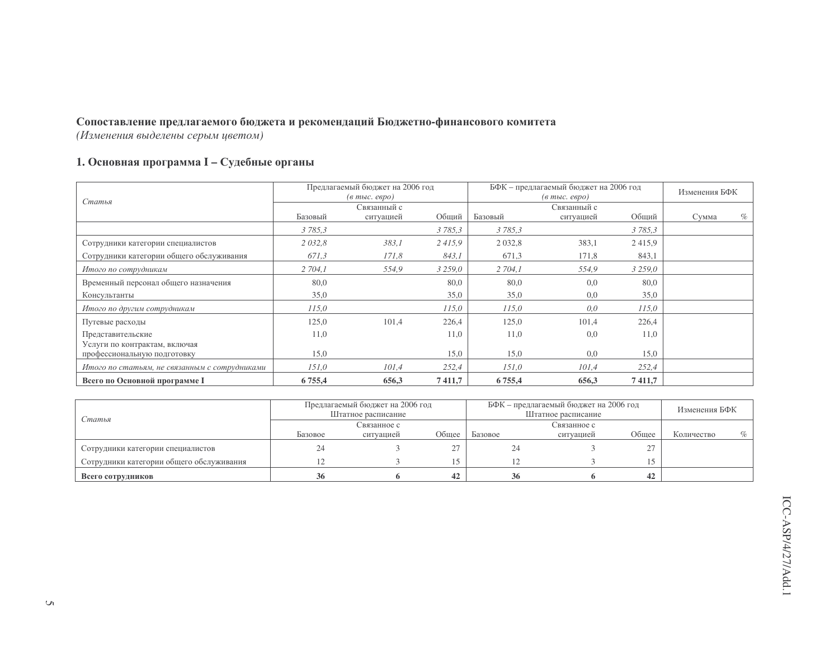(Изменения выделены серым цветом)

#### 1. Основная программа I – Судебные органы

|                                               |             | Предлагаемый бюджет на 2006 год<br>$(a \text{ mol.} \text{ e} \text{ e} \text{ }$ |        |             | БФК - предлагаемый бюджет на 2006 год<br>$(a \text{ molc.} \text{ espo})$ |        | Изменения БФК |      |
|-----------------------------------------------|-------------|-----------------------------------------------------------------------------------|--------|-------------|---------------------------------------------------------------------------|--------|---------------|------|
| Статья                                        |             | Связанный с                                                                       |        |             | Связанный с                                                               |        |               |      |
|                                               | Базовый     | ситуацией                                                                         | Общий  | Базовый     | ситуацией                                                                 | Общий  | Сумма         | $\%$ |
|                                               | 3 785,3     |                                                                                   | 3785,3 | 3 785,3     |                                                                           | 3785,3 |               |      |
| Сотрудники категории специалистов             | 2 0 3 2 , 8 | 383,1                                                                             | 2415,9 | 2 0 3 2 , 8 | 383,1                                                                     | 2415,9 |               |      |
| Сотрудники категории общего обслуживания      | 671,3       | 171,8                                                                             | 843,1  | 671,3       | 171,8                                                                     | 843,1  |               |      |
| Итого по сотрудникам                          | 2 704.1     | 554,9                                                                             | 3259,0 | 2 704.1     | 554,9                                                                     | 3259,0 |               |      |
| Временный персонал общего назначения          | 80,0        |                                                                                   | 80.0   | 80,0        | 0.0                                                                       | 80,0   |               |      |
| Консультанты                                  | 35,0        |                                                                                   | 35,0   | 35,0        | 0,0                                                                       | 35,0   |               |      |
| Итого по другим сотрудникам                   | 115,0       |                                                                                   | 115,0  | 115,0       | 0.0                                                                       | 115,0  |               |      |
| Путевые расходы                               | 125,0       | 101,4                                                                             | 226,4  | 125,0       | 101,4                                                                     | 226,4  |               |      |
| Представительские                             | 11,0        |                                                                                   | 11.0   | 11,0        | 0.0                                                                       | 11,0   |               |      |
| Услуги по контрактам, включая                 |             |                                                                                   |        |             |                                                                           |        |               |      |
| профессиональную подготовку                   | 15,0        |                                                                                   | 15,0   | 15,0        | 0.0                                                                       | 15,0   |               |      |
| Итого по статьям, не связанным с сотрудниками | 151,0       | 101,4                                                                             | 252,4  | 151,0       | 101,4                                                                     | 252,4  |               |      |
| Всего по Основной программе I                 | 6 7 5 5 , 4 | 656,3                                                                             | 7411,7 | 6755,4      | 656,3                                                                     | 7411,7 |               |      |

| <u>'татья</u>                            | Предлагаемый бюджет на 2006 год<br>Штатное расписание |             |       |         | БФК – предлагаемый бюджет на 2006 год<br>Штатное расписание |       | Изменения БФК |   |
|------------------------------------------|-------------------------------------------------------|-------------|-------|---------|-------------------------------------------------------------|-------|---------------|---|
|                                          |                                                       | Связанное с |       |         | Связанное с                                                 |       |               |   |
|                                          | Базовое                                               | ситуацией   | Обшее | Базовое | ситуацией                                                   | Обшее | Количество    | % |
| Сотрудники категории специалистов        |                                                       |             | 27    | 24      |                                                             |       |               |   |
| Сотрудники категории общего обслуживания |                                                       |             | ί5    |         |                                                             |       |               |   |
| Всего сотрудников                        |                                                       |             | 42    | 36      |                                                             | 42    |               |   |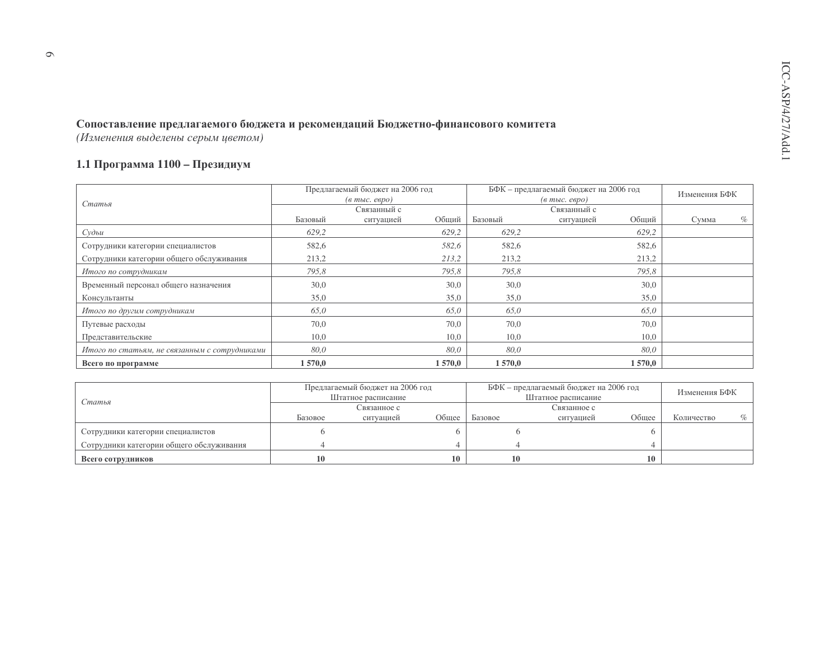# Сопоставление предлагаемого бюджета и рекомендаций Бюджетно-финансового комитета<br>(Изменения выделены серым цветом)

#### 1.1 Программа 1100 – Президиум

|                                               | Предлагаемый бюджет на 2006 год<br>$(a \text{ mol.} \text{ e }\text{e}\text{ }p\text{ }o)$ |             |         | БФК - предлагаемый бюджет на 2006 год<br>$(a \text{ mol.} \text{ espo})$ | Изменения БФК      |       |      |
|-----------------------------------------------|--------------------------------------------------------------------------------------------|-------------|---------|--------------------------------------------------------------------------|--------------------|-------|------|
| Статья                                        |                                                                                            | Связанный с |         |                                                                          | Связанный с        |       |      |
|                                               | Базовый                                                                                    | ситуацией   | Общий   | Базовый                                                                  | Общий<br>ситуацией | Сумма | $\%$ |
| Судьи                                         | 629,2                                                                                      |             | 629,2   | 629,2                                                                    | 629,2              |       |      |
| Сотрудники категории специалистов             | 582,6                                                                                      |             | 582,6   | 582,6                                                                    | 582,6              |       |      |
| Сотрудники категории общего обслуживания      | 213,2                                                                                      |             | 213,2   | 213,2                                                                    | 213,2              |       |      |
| Итого по сотрудникам                          | 795,8                                                                                      |             | 795,8   | 795,8                                                                    | 795,8              |       |      |
| Временный персонал общего назначения          | 30,0                                                                                       |             | 30,0    | 30,0                                                                     | 30,0               |       |      |
| Консультанты                                  | 35,0                                                                                       |             | 35,0    | 35,0                                                                     | 35,0               |       |      |
| Итого по другим сотрудникам                   | 65,0                                                                                       |             | 65,0    | 65,0                                                                     | 65,0               |       |      |
| Путевые расходы                               | 70.0                                                                                       |             | 70.0    | 70,0                                                                     | 70.0               |       |      |
| Представительские                             | 10,0                                                                                       |             | 10,0    | 10,0                                                                     | 10,0               |       |      |
| Итого по статьям, не связанным с сотрудниками | 80,0                                                                                       |             | 80,0    | 80,0                                                                     | 80,0               |       |      |
| Всего по программе                            | 1570.0                                                                                     |             | 1 570.0 | 1570.0                                                                   | 1 570,0            |       |      |

| Статья                                   | Предлагаемый бюджет на 2006 год<br>Штатное расписание |           |       |         | БФК – предлагаемый бюджет на 2006 год<br>Штатное расписание |       | Изменения БФК |   |
|------------------------------------------|-------------------------------------------------------|-----------|-------|---------|-------------------------------------------------------------|-------|---------------|---|
|                                          | Связанное с                                           |           |       |         | Связанное с                                                 |       |               |   |
|                                          | Базовое                                               | ситуацией | Обшее | Базовое | ситуацией                                                   | Обшее | Количество    | % |
| Сотрудники категории специалистов        |                                                       |           |       |         |                                                             |       |               |   |
| Сотрудники категории общего обслуживания |                                                       |           |       |         |                                                             |       |               |   |
| Всего сотрудников                        |                                                       |           | 10    |         |                                                             | 10    |               |   |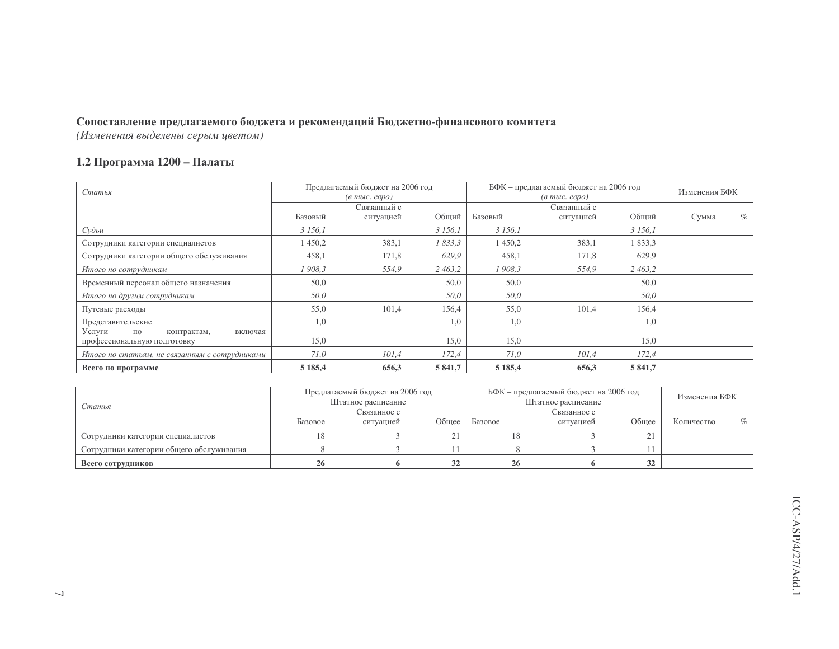(Изменения выделены серым цветом)

#### 1.2 Программа 1200 – Палаты

| Статья                                                 |             | Предлагаемый бюджет на 2006 год<br>$(a \text{ into.} \text{~e}$ gpo $)$ |         |         | БФК - предлагаемый бюджет на 2006 год<br>$(a \text{ mol.} \text{ e}\text{e} \text{p}o)$ |         | Изменения БФК |      |
|--------------------------------------------------------|-------------|-------------------------------------------------------------------------|---------|---------|-----------------------------------------------------------------------------------------|---------|---------------|------|
|                                                        |             | Связанный с                                                             |         |         | Связанный с                                                                             |         |               |      |
|                                                        | Базовый     | ситуацией                                                               | Общий   | Базовый | ситуацией                                                                               | Общий   | Сумма         | $\%$ |
| Судьи                                                  | 3 1 5 6 . 1 |                                                                         | 3 156,1 | 3 156,1 |                                                                                         | 3 156,1 |               |      |
| Сотрудники категории специалистов                      | 1450,2      | 383,1                                                                   | 1 833,3 | 1 450,2 | 383,1                                                                                   | 1833,3  |               |      |
| Сотрудники категории общего обслуживания               | 458,1       | 171,8                                                                   | 629,9   | 458,1   | 171,8                                                                                   | 629,9   |               |      |
| Итого по сотрудникам                                   | 1 908.3     | 554,9                                                                   | 2463,2  | 1908.3  | 554.9                                                                                   | 2 463,2 |               |      |
| Временный персонал общего назначения                   | 50,0        |                                                                         | 50,0    | 50,0    |                                                                                         | 50,0    |               |      |
| Итого по другим сотрудникам                            | 50,0        |                                                                         | 50,0    | 50,0    |                                                                                         | 50,0    |               |      |
| Путевые расходы                                        | 55,0        | 101,4                                                                   | 156,4   | 55,0    | 101,4                                                                                   | 156,4   |               |      |
| Представительские                                      | 1,0         |                                                                         | 1,0     | 1,0     |                                                                                         | 1,0     |               |      |
| Услуги<br>$\Pi$ <sup>O</sup><br>контрактам,<br>включая |             |                                                                         |         |         |                                                                                         |         |               |      |
| профессиональную подготовку                            | 15,0        |                                                                         | 15,0    | 15,0    |                                                                                         | 15,0    |               |      |
| Итого по статьям, не связанным с сотрудниками          | 71,0        | 101,4                                                                   | 172,4   | 71,0    | 101,4                                                                                   | 172,4   |               |      |
| Всего по программе                                     | 5 1 8 5 , 4 | 656,3                                                                   | 5 841,7 | 5 185,4 | 656,3                                                                                   | 5 841,7 |               |      |

| Статья                                   | Предлагаемый бюджет на 2006 год<br>Штатное расписание |           |       |         | БФК – предлагаемый бюджет на 2006 год<br>Штатное расписание |          | Изменения БФК |  |
|------------------------------------------|-------------------------------------------------------|-----------|-------|---------|-------------------------------------------------------------|----------|---------------|--|
|                                          | Связанное с<br>Связанное с                            |           |       |         |                                                             |          |               |  |
|                                          | Базовое                                               | ситуацией | Обшее | Базовое | ситуацией                                                   | Обшее    | Количество    |  |
| Сотрудники категории специалистов        |                                                       |           | 21    |         |                                                             | $\sim$ 1 |               |  |
| Сотрудники категории общего обслуживания |                                                       |           |       |         |                                                             |          |               |  |
| Всего сотрудников                        | 26                                                    |           | 32    | 26      |                                                             | 32       |               |  |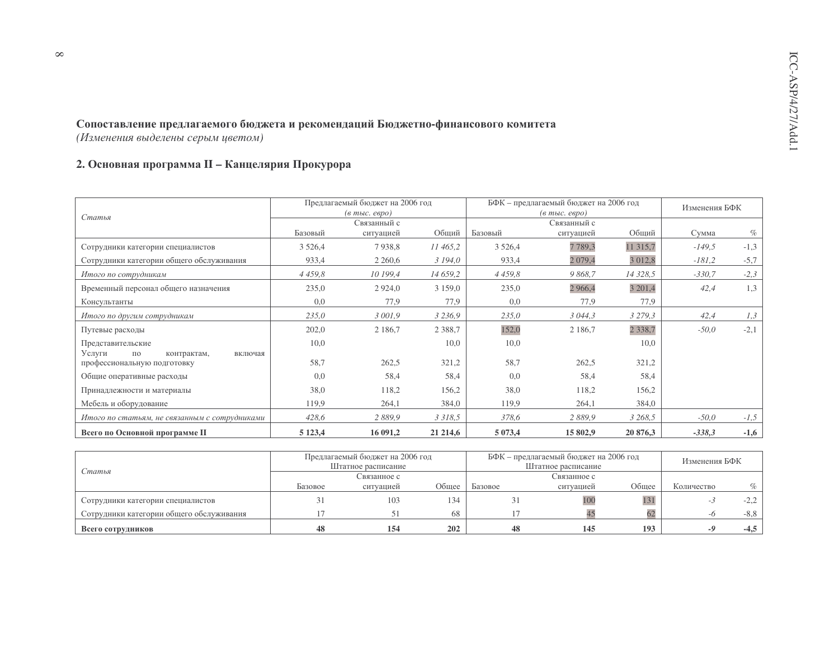(Изменения выделены серым цветом)

#### 2. Основная программа II – Канцелярия Прокурора

|                                                        |             | Предлагаемый бюджет на 2006 год<br>$(a \text{ mol.} \text{ e }\text{e}\text{ }p\text{ }o)$ |            |           | БФК - предлагаемый бюджет на 2006 год<br>$(a \text{ mol.} \text{ e }\text{e}\text{ }p\text{ }o)$ |             | Изменения БФК |        |
|--------------------------------------------------------|-------------|--------------------------------------------------------------------------------------------|------------|-----------|--------------------------------------------------------------------------------------------------|-------------|---------------|--------|
| Статья                                                 |             | Связанный с                                                                                |            |           | Связанный с                                                                                      |             |               |        |
|                                                        | Базовый     | ситуацией                                                                                  | Общий      | Базовый   | ситуацией                                                                                        | Общий       | Сумма         | %      |
| Сотрудники категории специалистов                      | 3 5 2 6 4   | 7938,8                                                                                     | 11465,2    | 3 5 2 6 4 | 7789,3                                                                                           | 11 315,7    | $-149.5$      | $-1,3$ |
| Сотрудники категории общего обслуживания               | 933,4       | 2 2 6 0 , 6                                                                                | 3194,0     | 933,4     | 2079,4                                                                                           | 3 012,8     | $-181,2$      | $-5,7$ |
| Итого по сотрудникам                                   | 4459,8      | 10 199,4                                                                                   | 14 659,2   | 4459,8    | 9 868,7                                                                                          | 14 328,5    | $-330,7$      | $-2,3$ |
| Временный персонал общего назначения                   | 235,0       | 2 9 2 4 , 0                                                                                | 3 1 5 9 0  | 235,0     | 2966,4                                                                                           | 3 201,4     | 42,4          | 1,3    |
| Консультанты                                           | 0,0         | 77,9                                                                                       | 77,9       | 0,0       | 77,9                                                                                             | 77,9        |               |        |
| Итого по другим сотрудникам                            | 235,0       | 3 001,9                                                                                    | 3 2 3 6, 9 | 235,0     | 3 044,3                                                                                          | 3 2 7 9 , 3 | 42,4          | 1,3    |
| Путевые расходы                                        | 202,0       | 2 186,7                                                                                    | 2 3 8 8,7  | 152,0     | 2 186,7                                                                                          | 2 3 3 8 , 7 | $-50,0$       | $-2,1$ |
| Представительские                                      | 10,0        |                                                                                            | 10,0       | 10,0      |                                                                                                  | 10,0        |               |        |
| Услуги<br>$\Pi$ <sup>O</sup><br>контрактам,<br>включая |             |                                                                                            |            |           |                                                                                                  |             |               |        |
| профессиональную подготовку                            | 58,7        | 262,5                                                                                      | 321,2      | 58,7      | 262,5                                                                                            | 321,2       |               |        |
| Общие оперативные расходы                              | 0,0         | 58,4                                                                                       | 58,4       | 0,0       | 58,4                                                                                             | 58,4        |               |        |
| Принадлежности и материалы                             | 38,0        | 118,2                                                                                      | 156,2      | 38,0      | 118,2                                                                                            | 156,2       |               |        |
| Мебель и оборудование                                  | 119,9       | 264,1                                                                                      | 384,0      | 119,9     | 264,1                                                                                            | 384,0       |               |        |
| Итого по статьям, не связанным с сотрудниками          | 428,6       | 2889,9                                                                                     | 3 3 1 8 5  | 378,6     | 2889,9                                                                                           | 3 268,5     | $-50,0$       | $-1,5$ |
| Всего по Основной программе II                         | 5 1 2 3 , 4 | 16 091,2                                                                                   | 21 214,6   | 5 073,4   | 15 802,9                                                                                         | 20 876,3    | $-338,3$      | $-1,6$ |

|                                          | БФК – предлагаемый бюджет на 2006 год<br>Предлагаемый бюджет на 2006 год<br>Штатное расписание<br>Штатное расписание |             |       |         | Изменения БФК |       |            |        |
|------------------------------------------|----------------------------------------------------------------------------------------------------------------------|-------------|-------|---------|---------------|-------|------------|--------|
| <u>'</u> татья                           |                                                                                                                      | Связанное с |       |         | Связанное с   |       |            |        |
|                                          | Базовое                                                                                                              | ситуацией   | Обшее | Базовое | ситуацией     | Обшее | Количество |        |
| Сотрудники категории специалистов        |                                                                                                                      | 103         | 134   |         | 100           | 131   |            | $-2,2$ |
| Сотрудники категории общего обслуживания |                                                                                                                      |             | 68    |         |               |       |            | $-8,8$ |
| Всего сотрудников                        | 48                                                                                                                   | 154         | 202   | 48      | 145           | 193   |            | $-4,5$ |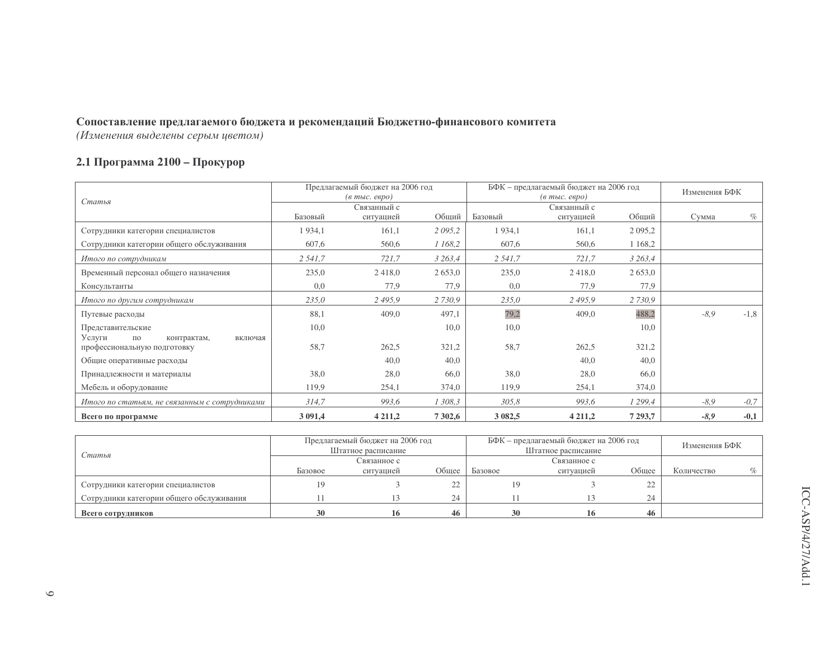(Изменения выделены серым цветом)

#### 2.1 Программа 2100 – Прокурор

|                                               |           | Предлагаемый бюджет на 2006 год<br>$(a \text{ mol.} \text{ e} \text{ e} \text{ }$ |             |         | БФК - предлагаемый бюджет на 2006 год<br>$(a \text{ mol.} \text{ espo})$ |             | Изменения БФК |        |
|-----------------------------------------------|-----------|-----------------------------------------------------------------------------------|-------------|---------|--------------------------------------------------------------------------|-------------|---------------|--------|
| Статья                                        |           | Связанный с                                                                       |             |         | Связанный с                                                              |             |               |        |
|                                               | Базовый   | ситуацией                                                                         | Общий       | Базовый | ситуацией                                                                | Общий       | Сумма         | $\%$   |
| Сотрудники категории специалистов             | 1934,1    | 161,1                                                                             | 2 0 9 5 , 2 | 1934,1  | 161,1                                                                    | 2 0 9 5 , 2 |               |        |
| Сотрудники категории общего обслуживания      | 607,6     | 560,6                                                                             | 1 168,2     | 607,6   | 560,6                                                                    | 1 1 68,2    |               |        |
| Итого по сотрудникам                          | 2 541,7   | 721,7                                                                             | 3263,4      | 2 541,7 | 721,7                                                                    | 3 263,4     |               |        |
| Временный персонал общего назначения          | 235,0     | 2418,0                                                                            | 2 653,0     | 235,0   | 2418,0                                                                   | 2653,0      |               |        |
| Консультанты                                  | 0,0       | 77,9                                                                              | 77,9        | 0,0     | 77,9                                                                     | 77,9        |               |        |
| Итого по другим сотрудникам                   | 235,0     | 2495,9                                                                            | 2 7 3 0 , 9 | 235,0   | 2495,9                                                                   | 2 730,9     |               |        |
| Путевые расходы                               | 88,1      | 409,0                                                                             | 497,1       | 79,2    | 409,0                                                                    | 488,2       | $-8,9$        | $-1,8$ |
| Представительские                             | 10,0      |                                                                                   | 10,0        | 10,0    |                                                                          | 10,0        |               |        |
| Услуги<br>включая<br>по<br>контрактам,        |           |                                                                                   |             |         |                                                                          |             |               |        |
| профессиональную подготовку                   | 58,7      | 262,5                                                                             | 321,2       | 58,7    | 262,5                                                                    | 321,2       |               |        |
| Общие оперативные расходы                     |           | 40,0                                                                              | 40,0        |         | 40,0                                                                     | 40,0        |               |        |
| Принадлежности и материалы                    | 38,0      | 28,0                                                                              | 66,0        | 38,0    | 28,0                                                                     | 66,0        |               |        |
| Мебель и оборудование                         | 119,9     | 254,1                                                                             | 374,0       | 119,9   | 254,1                                                                    | 374,0       |               |        |
| Итого по статьям, не связанным с сотрудниками | 314,7     | 993,6                                                                             | 1 308,3     | 305,8   | 993,6                                                                    | 1 299,4     | $-8,9$        | $-0,7$ |
| Всего по программе                            | 3 0 9 1,4 | 4 2 1 1 , 2                                                                       | 7 302,6     | 3 082,5 | 4 2 1 1 , 2                                                              | 7 29 3, 7   | $-8,9$        | $-0,1$ |

| Статья                                   |                            | Предлагаемый бюджет на 2006 год<br>Штатное расписание |             | БФК – предлагаемый бюджет на 2006 год<br>Штатное расписание |           |              | Изменения БФК |  |
|------------------------------------------|----------------------------|-------------------------------------------------------|-------------|-------------------------------------------------------------|-----------|--------------|---------------|--|
|                                          | Связанное с<br>Связанное с |                                                       |             |                                                             |           |              |               |  |
|                                          | Базовое                    | ситуацией                                             | Обшее       | Базовое                                                     | ситуацией | Обшее        | Количество    |  |
| Сотрудники категории специалистов        |                            |                                                       | $\cap$<br>∸ | 1 Q                                                         |           | $\cap$<br>∠∠ |               |  |
| Сотрудники категории общего обслуживания |                            |                                                       | 24          |                                                             |           | 24           |               |  |
| Всего сотрудников                        | 30                         | 16                                                    | -46         | 30                                                          | 16        | 46           |               |  |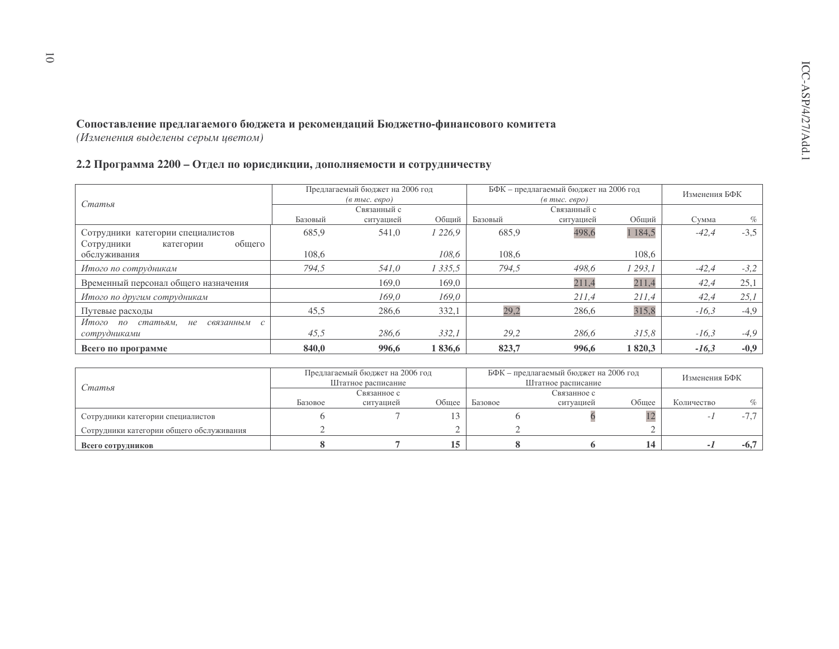(Изменения выделены серым цветом)

#### 2.2 Программа 2200 – Отдел по юрисдикции, дополняемости и сотрудничеству

|                                                                |         | Предлагаемый бюджет на 2006 год<br>$(a \text{ into.} \text{~e}$ gpo $)$ |             |         | БФК - предлагаемый бюджет на 2006 год<br>$(a \text{ molc.} \text{ espo})$ |             | Изменения БФК |        |
|----------------------------------------------------------------|---------|-------------------------------------------------------------------------|-------------|---------|---------------------------------------------------------------------------|-------------|---------------|--------|
| Статья                                                         |         | Связанный с                                                             |             |         | Связанный с                                                               |             |               |        |
|                                                                |         |                                                                         |             |         |                                                                           |             |               |        |
|                                                                | Базовый | ситуацией                                                               | Общий       | Базовый | ситуацией                                                                 | Обший       | Сумма         | $\%$   |
| Сотрудники категории специалистов                              | 685,9   | 541,0                                                                   | 1226,9      | 685,9   | 498,6                                                                     | 1 1 8 4 , 5 | $-42,4$       | $-3,5$ |
| общего<br>Сотрудники<br>категории                              |         |                                                                         |             |         |                                                                           |             |               |        |
| обслуживания                                                   | 108.6   |                                                                         | 108.6       | 108.6   |                                                                           | 108.6       |               |        |
| Итого по сотрудникам                                           | 794,5   | 541,0                                                                   | 1 3 3 5 , 5 | 794,5   | 498,6                                                                     | 1 293,1     | $-42,4$       | $-3,2$ |
| Временный персонал общего назначения                           |         | 169.0                                                                   | 169,0       |         | 211,4                                                                     | 211,4       | 42,4          | 25,1   |
| Итого по другим сотрудникам                                    |         | 169.0                                                                   | 169,0       |         | 211.4                                                                     | 211,4       | 42.4          | 25,1   |
| Путевые расходы                                                | 45,5    | 286,6                                                                   | 332,1       | 29,2    | 286,6                                                                     | 315,8       | $-16,3$       | $-4,9$ |
| Итого<br>$n$ o<br>статьям,<br>He<br>связанным<br>$\mathcal{C}$ |         |                                                                         |             |         |                                                                           |             |               |        |
| сотрудниками                                                   | 45,5    | 286,6                                                                   | 332,1       | 29,2    | 286.6                                                                     | 315,8       | $-16,3$       | $-4,9$ |
| Всего по программе                                             | 840.0   | 996.6                                                                   | 1836.6      | 823,7   | 996.6                                                                     | 1820.3      | $-16,3$       | $-0,9$ |

| татья                                    | Предлагаемый бюджет на 2006 год<br>Штатное расписание |             |       | БФК – предлагаемый бюджет на 2006 год<br>Штатное расписание |             |       | Изменения БФК |  |
|------------------------------------------|-------------------------------------------------------|-------------|-------|-------------------------------------------------------------|-------------|-------|---------------|--|
|                                          |                                                       | Связанное с |       |                                                             | Связанное с |       |               |  |
|                                          | Базовое                                               | ситуацией   | Обшее | Базовое                                                     | ситуацией   | Обшее | Количество    |  |
| Сотрудники категории специалистов        |                                                       |             |       |                                                             |             |       |               |  |
| Сотрудники категории общего обслуживания |                                                       |             |       |                                                             |             |       |               |  |
| Всего сотрудников                        |                                                       |             |       |                                                             |             | 14    |               |  |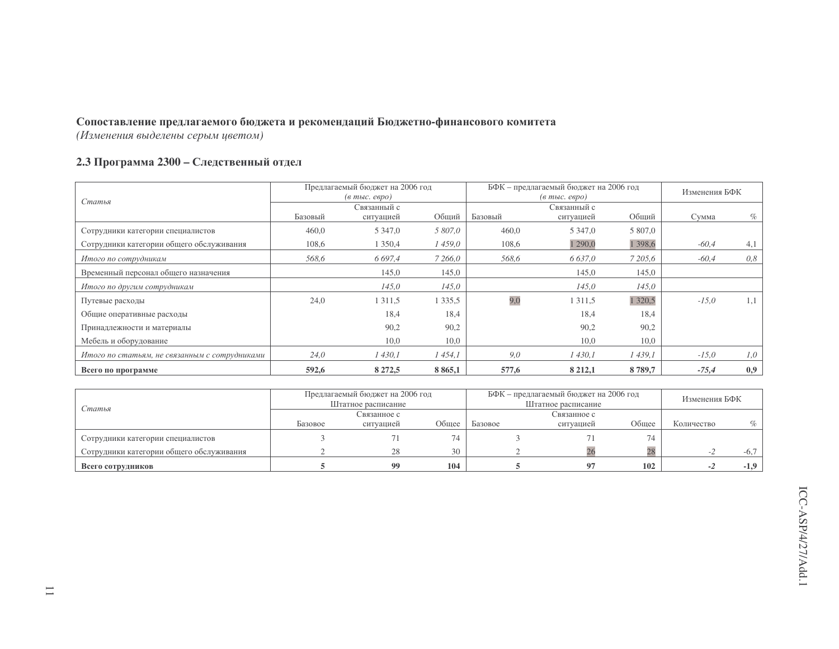(Изменения выделены серым цветом)

#### **2.3 Программа 2300 – Следственный отдел**

|                                               |         | Предлагаемый бюджет на 2006 год<br>$(a \text{ mol.} \text{~} \text{~} \text{~} \text{~} \text{~} \text{~} \text{~}$ |            |         | БФК - предлагаемый бюджет на 2006 год<br>$(a \text{ mol.} \text{ espo})$ |            | Изменения БФК |                  |
|-----------------------------------------------|---------|---------------------------------------------------------------------------------------------------------------------|------------|---------|--------------------------------------------------------------------------|------------|---------------|------------------|
| Статья                                        |         | Связанный с                                                                                                         |            |         | Связанный с                                                              |            |               |                  |
|                                               | Базовый | ситуацией                                                                                                           | Общий      | Базовый | ситуацией                                                                | Общий      | Сумма         | $\%$             |
| Сотрудники категории специалистов             | 460,0   | 5 3 4 7 , 0                                                                                                         | 5 807,0    | 460,0   | 5 3 4 7 , 0                                                              | 5 807,0    |               |                  |
| Сотрудники категории общего обслуживания      | 108,6   | 1 350,4                                                                                                             | 1459,0     | 108,6   | 1 290,0                                                                  | 1 398,6    | $-60,4$       | 4,1              |
| Итого по сотрудникам                          | 568.6   | 6 697.4                                                                                                             | 7 266,0    | 568,6   | 6 637,0                                                                  | 7 205.6    | $-60,4$       | 0,8              |
| Временный персонал общего назначения          |         | 145,0                                                                                                               | 145,0      |         | 145,0                                                                    | 145,0      |               |                  |
| Итого по другим сотрудникам                   |         | 145,0                                                                                                               | 145,0      |         | 145,0                                                                    | 145,0      |               |                  |
| Путевые расходы                               | 24,0    | 1 3 1 1 .5                                                                                                          | 1 3 3 5 .5 | 9,0     | 1 3 1 1 .5                                                               | 1 3 2 0 .5 | $-15,0$       | 1,1              |
| Общие оперативные расходы                     |         | 18.4                                                                                                                | 18,4       |         | 18,4                                                                     | 18,4       |               |                  |
| Принадлежности и материалы                    |         | 90,2                                                                                                                | 90,2       |         | 90,2                                                                     | 90,2       |               |                  |
| Мебель и оборудование                         |         | 10,0                                                                                                                | 10,0       |         | 10,0                                                                     | 10,0       |               |                  |
| Итого по статьям, не связанным с сотрудниками | 24,0    | 1 430,1                                                                                                             | 1 454,1    | 9.0     | 1 430,1                                                                  | 1439,1     | $-15,0$       | 1,0              |
| Всего по программе                            | 592,6   | 8 2 7 2 , 5                                                                                                         | 8 8 6 5, 1 | 577,6   | 8 2 1 2 , 1                                                              | 8789,7     | $-75,4$       | 0.9 <sub>0</sub> |

| Статья                                   | Предлагаемый бюджет на 2006 год<br>Штатное расписание |           |       |         | БФК – предлагаемый бюджет на 2006 год<br>Штатное расписание |       | Изменения БФК |        |  |
|------------------------------------------|-------------------------------------------------------|-----------|-------|---------|-------------------------------------------------------------|-------|---------------|--------|--|
|                                          | Связанное с                                           |           |       |         | Связанное с                                                 |       |               |        |  |
|                                          | Базовое                                               | ситуацией | Обшее | Базовое | ситуацией                                                   | Обшее | Количество    | $\%$   |  |
| Сотрудники категории специалистов        |                                                       |           | 74    |         |                                                             |       |               |        |  |
| Сотрудники категории общего обслуживания |                                                       |           | 30    |         |                                                             |       |               | $-6.7$ |  |
| Всего сотрудников                        |                                                       | 99        | 104   |         | 97                                                          | 102   |               | $-1.9$ |  |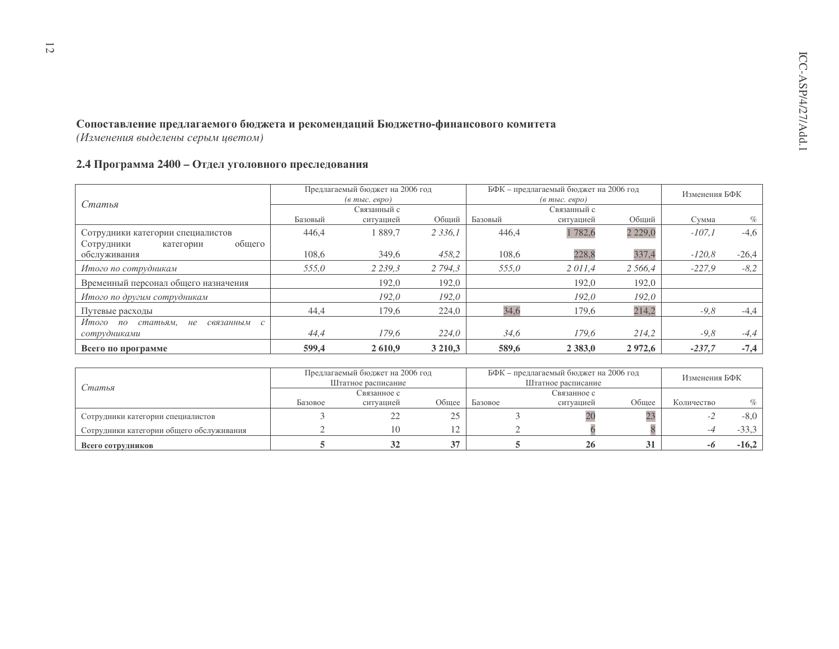# Сопоставление предлагаемого бюджета и рекомендаций Бюджетно-финансового комитета<br>(Изменения выделены серым цветом)

#### 2.4 Программа 2400 – Отдел уголовного преследования

|                                                        |         | Предлагаемый бюджет на 2006 год      |             |                                  | БФК - предлагаемый бюджет на 2006 год |             | Изменения БФК |         |
|--------------------------------------------------------|---------|--------------------------------------|-------------|----------------------------------|---------------------------------------|-------------|---------------|---------|
| Статья                                                 |         | $(a \text{ into.} \text{~e}$ gpo $)$ |             | $(a \text{ molc.} \text{ espo})$ |                                       |             |               |         |
|                                                        |         | Связанный с                          |             |                                  | Связанный с                           |             |               |         |
|                                                        | Базовый | ситуацией                            | Общий       | Базовый                          | ситуацией                             | Общий       | Сумма         | %       |
| Сотрудники категории специалистов                      | 446,4   | 889,7                                | 2 3 3 6, 1  | 446,4                            | 1782,6                                | 2 2 2 9 , 0 | $-107,1$      | $-4,6$  |
| общего<br>Сотрудники<br>категории                      |         |                                      |             |                                  |                                       |             |               |         |
| обслуживания                                           | 108.6   | 349,6                                | 458,2       | 108,6                            | 228,8                                 | 337,4       | $-120.8$      | $-26,4$ |
| Итого по сотрудникам                                   | 555,0   | 2 2 3 9 3                            | 2 794,3     | 555,0                            | 2011,4                                | 2 566.4     | $-227,9$      | $-8,2$  |
| Временный персонал общего назначения                   |         | 192,0                                | 192,0       |                                  | 192,0                                 | 192,0       |               |         |
| Итого по другим сотрудникам                            |         | 192.0                                | 192,0       |                                  | 192.0                                 | 192.0       |               |         |
| Путевые расходы                                        | 44,4    | 179,6                                | 224,0       | 34,6                             | 179,6                                 | 214,2       | $-9,8$        | $-4,4$  |
| Итого<br>n <sub>O</sub><br>статьям,<br>He<br>связанным |         |                                      |             |                                  |                                       |             |               |         |
| сотрудниками                                           | 44,4    | 179,6                                | 224,0       | 34,6                             | 179,6                                 | 214,2       | $-9,8$        | $-4,4$  |
| Всего по программе                                     | 599.4   | 2 6 1 0,9                            | 3 2 1 0 , 3 | 589,6                            | 2 3 8 3 .0                            | 2972.6      | $-237,7$      | $-7,4$  |

| <u>'татья</u>                            | Предлагаемый бюджет на 2006 год<br>Штатное расписание |             |          | БФК – предлагаемый бюджет на 2006 год<br>Штатное расписание |             |       | Изменения БФК |         |
|------------------------------------------|-------------------------------------------------------|-------------|----------|-------------------------------------------------------------|-------------|-------|---------------|---------|
|                                          |                                                       | Связанное с |          |                                                             | Связанное с |       |               |         |
|                                          | Базовое                                               | ситуацией   | Обшее    | Базовое                                                     | ситуацией   | Обшее | Количество    |         |
| Сотрудники категории специалистов        |                                                       | ∸           | <u>_</u> |                                                             | 20          | 23    |               | $-8,0$  |
| Сотрудники категории общего обслуживания |                                                       |             |          |                                                             |             |       |               | $-33.3$ |
| Всего сотрудников                        |                                                       |             |          |                                                             | <b>26</b>   |       |               | $-16,2$ |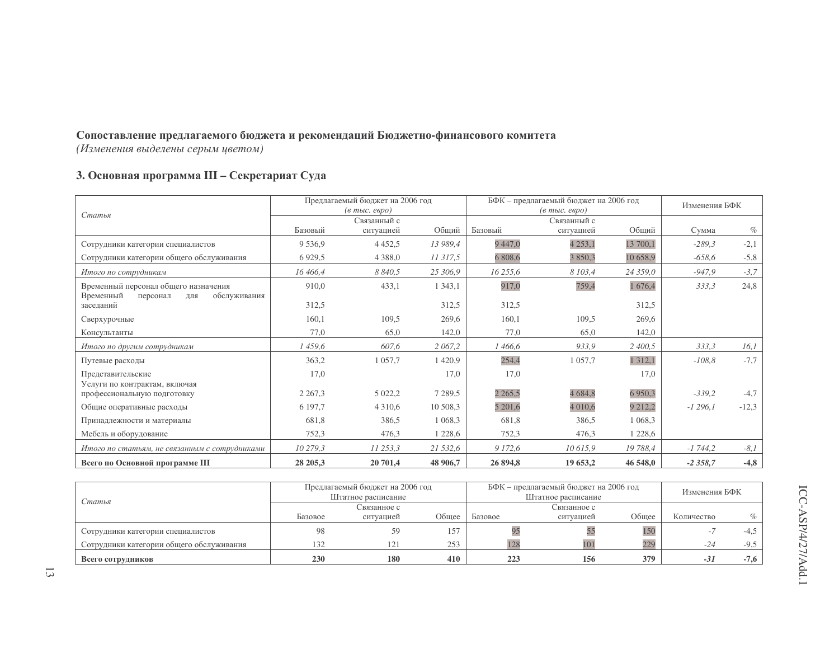(Изменения выделены серым цветом)

#### **3. Основная программа III – Секретариат Суда**

|                                                                                      |           | Предлагаемый бюджет на 2006 год<br>$(a \text{ molc.} \text{ espo})$ |             |            | БФК - предлагаемый бюджет на 2006 год<br>$(e$ m <sub>bl</sub> $c$ , eepo) |             | Изменения БФК |         |
|--------------------------------------------------------------------------------------|-----------|---------------------------------------------------------------------|-------------|------------|---------------------------------------------------------------------------|-------------|---------------|---------|
| Статья                                                                               |           | Связанный с                                                         |             |            | Связанный с                                                               |             |               |         |
|                                                                                      | Базовый   | ситуацией                                                           | Общий       | Базовый    | ситуацией                                                                 | Общий       | Сумма         | $\%$    |
| Сотрудники категории специалистов                                                    | 9536,9    | 4 4 5 2, 5                                                          | 13 989,4    | 9 4 4 7,0  | 4 2 5 3 , 1                                                               | 13 700,1    | $-289,3$      | $-2,1$  |
| Сотрудники категории общего обслуживания                                             | 6 9 29, 5 | 4 3 8 8 , 0                                                         | 11 317,5    | 6 808,6    | 3 850,3                                                                   | 10 658,9    | $-658,6$      | $-5,8$  |
| Итого по сотрудникам                                                                 | 16 466,4  | 8 840,5                                                             | 25 306,9    | 16 255,6   | 8 103,4                                                                   | 24 359,0    | $-947.9$      | $-3,7$  |
| Временный персонал общего назначения<br>Временный<br>обслуживания<br>персонал<br>ДЛЯ | 910,0     | 433,1                                                               | 1 3 4 3 , 1 | 917,0      | 759,4                                                                     | 1 676,4     | 333,3         | 24,8    |
| заседаний                                                                            | 312,5     |                                                                     | 312,5       | 312,5      |                                                                           | 312,5       |               |         |
| Сверхурочные                                                                         | 160,1     | 109,5                                                               | 269,6       | 160,1      | 109,5                                                                     | 269,6       |               |         |
| Консультанты                                                                         | 77,0      | 65,0                                                                | 142,0       | 77,0       | 65,0                                                                      | 142,0       |               |         |
| Итого по другим сотрудникам                                                          | 1459,6    | 607,6                                                               | 2 067,2     | 1466,6     | 933,9                                                                     | 2 400,5     | 333,3         | 16,1    |
| Путевые расходы                                                                      | 363,2     | 1 0 5 7 , 7                                                         | 1420,9      | 254,4      | 1 0 5 7, 7                                                                | 1 3 1 2, 1  | $-108,8$      | $-7,7$  |
| Представительские                                                                    | 17,0      |                                                                     | 17,0        | 17,0       |                                                                           | 17,0        |               |         |
| Услуги по контрактам, включая<br>профессиональную подготовку                         | 2 2 6 7 3 | 5 0 2 2, 2                                                          | 7 2 8 9 . 5 | 2 2 6 5 .5 | 4 684,8                                                                   | 6 9 5 0 3   | $-339,2$      | $-4,7$  |
| Общие оперативные расходы                                                            | 6 197,7   | 4 3 1 0 , 6                                                         | 10 508,3    | 5 201,6    | 4 010,6                                                                   | 9 212,2     | $-1296.1$     | $-12,3$ |
| Принадлежности и материалы                                                           | 681,8     | 386,5                                                               | 1 068,3     | 681,8      | 386,5                                                                     | 1 068,3     |               |         |
| Мебель и оборудование                                                                | 752,3     | 476,3                                                               | 1 2 2 8 . 6 | 752,3      | 476,3                                                                     | 1 2 2 8 . 6 |               |         |
| Итого по статьям, не связанным с сотрудниками                                        | 10 279,3  | 11 253,3                                                            | 21 532,6    | 9 172,6    | 10 615,9                                                                  | 19788,4     | $-1744,2$     | $-8,1$  |
| Всего по Основной программе III                                                      | 28 205,3  | 20 701,4                                                            | 48 906,7    | 26 894,8   | 19 653,2                                                                  | 46 548,0    | $-2358,7$     | $-4,8$  |

| Статья                                   | Предлагаемый бюджет на 2006 год<br>Штатное расписание |           |       |             | БФК – предлагаемый бюджет на 2006 год<br>Штатное расписание |       | Изменения БФК |        |
|------------------------------------------|-------------------------------------------------------|-----------|-------|-------------|-------------------------------------------------------------|-------|---------------|--------|
|                                          | Связанное с                                           |           |       | Связанное с |                                                             |       |               |        |
|                                          | Базовое                                               | ситуацией | Обшее | Базовое     | ситуацией                                                   | Обшее | Количество    | $\%$   |
| Сотрудники категории специалистов        | 98                                                    |           | 157   |             |                                                             | 150   |               | $-4,5$ |
| Сотрудники категории общего обслуживания | 132                                                   | 121       | 253   | 128         | 101                                                         | 229   |               | $-9,5$ |
| Всего сотрудников                        | 230                                                   | 180       | 410   | 223         | 156                                                         | 379   | $-3x$         | $-7,6$ |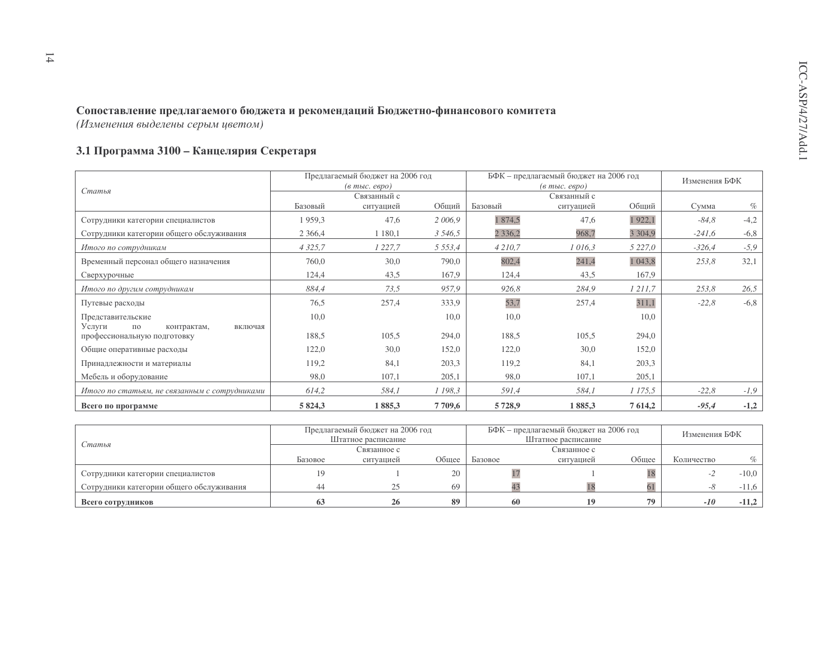(Изменения выделены серым цветом)

#### 3.1 Программа 3100 – Канцелярия Секретаря

|                                                        |             | Предлагаемый бюджет на 2006 год                         |             |             | БФК - предлагаемый бюджет на 2006 год |             | Изменения БФК |        |
|--------------------------------------------------------|-------------|---------------------------------------------------------|-------------|-------------|---------------------------------------|-------------|---------------|--------|
| Статья                                                 |             | $(a \text{ mol.} \text{ e }\text{e}\text{ }p\text{ }o)$ |             |             | $(a \text{ mol.} \text{ espo})$       |             |               |        |
|                                                        |             | Связанный с                                             |             |             | Связанный с                           |             |               |        |
|                                                        | Базовый     | ситуацией                                               | Общий       | Базовый     | ситуацией                             | Общий       | Сумма         | $\%$   |
| Сотрудники категории специалистов                      | 1959,3      | 47,6                                                    | 2 006,9     | 1874,5      | 47,6                                  | 1922,1      | $-84,8$       | $-4,2$ |
| Сотрудники категории общего обслуживания               | 2 3 6 6,4   | 180,1                                                   | 3 5 4 6, 5  | 2 3 3 6 , 2 | 968,7                                 | 3 3 0 4 , 9 | $-241,6$      | $-6,8$ |
| Итого по сотрудникам                                   | 4 3 2 5 , 7 | 1 227,7                                                 | 5 5 5 3 , 4 | 4 2 1 0 , 7 | 1016,3                                | 5 2 2 7,0   | $-326,4$      | $-5,9$ |
| Временный персонал общего назначения                   | 760,0       | 30,0                                                    | 790,0       | 802,4       | 241,4                                 | 1 043,8     | 253,8         | 32,1   |
| Сверхурочные                                           | 124,4       | 43,5                                                    | 167,9       | 124,4       | 43,5                                  | 167,9       |               |        |
| Итого по другим сотрудникам                            | 884,4       | 73,5                                                    | 957,9       | 926,8       | 284,9                                 | 1 211,7     | 253,8         | 26,5   |
| Путевые расходы                                        | 76,5        | 257,4                                                   | 333,9       | 53,7        | 257,4                                 | 311,1       | $-22,8$       | $-6,8$ |
| Представительские                                      | 10,0        |                                                         | 10,0        | 10,0        |                                       | 10,0        |               |        |
| Услуги<br>$\Pi$ <sup>O</sup><br>контрактам,<br>включая |             |                                                         |             |             |                                       |             |               |        |
| профессиональную подготовку                            | 188,5       | 105,5                                                   | 294,0       | 188,5       | 105,5                                 | 294,0       |               |        |
| Общие оперативные расходы                              | 122,0       | 30,0                                                    | 152,0       | 122,0       | 30,0                                  | 152,0       |               |        |
| Принадлежности и материалы                             | 119,2       | 84,1                                                    | 203,3       | 119,2       | 84,1                                  | 203,3       |               |        |
| Мебель и оборудование                                  | 98,0        | 107,1                                                   | 205,1       | 98,0        | 107,1                                 | 205,1       |               |        |
| Итого по статьям, не связанным с сотрудниками          | 614,2       | 584,1                                                   | 1 198,3     | 591,4       | 584,1                                 | 1 175,5     | $-22,8$       | $-1,9$ |
| Всего по программе                                     | 5 824,3     | 1885,3                                                  | 7 709,6     | 5728,9      | 1885,3                                | 7 614,2     | $-95,4$       | $-1,2$ |

| <u>'татья</u>                            | Предлагаемый бюджет на 2006 год<br>Штатное расписание |             |       | БФК – предлагаемый бюджет на 2006 год<br>Штатное расписание |             |       | Изменения БФК |         |
|------------------------------------------|-------------------------------------------------------|-------------|-------|-------------------------------------------------------------|-------------|-------|---------------|---------|
|                                          |                                                       | Связанное с |       |                                                             | Связанное с |       |               |         |
|                                          | Базовое                                               | ситуацией   | Обшее | Базовое                                                     | ситуацией   | Обшее | Количество    |         |
| Сотрудники категории специалистов        |                                                       |             | 20    |                                                             |             | 18    |               | $-10,0$ |
| Сотрудники категории общего обслуживания | 44                                                    |             | 69    |                                                             |             |       |               | $-11.6$ |
| Всего сотрудников                        | -63                                                   |             | 89    | 60                                                          | 19          | 79    | $-10$         |         |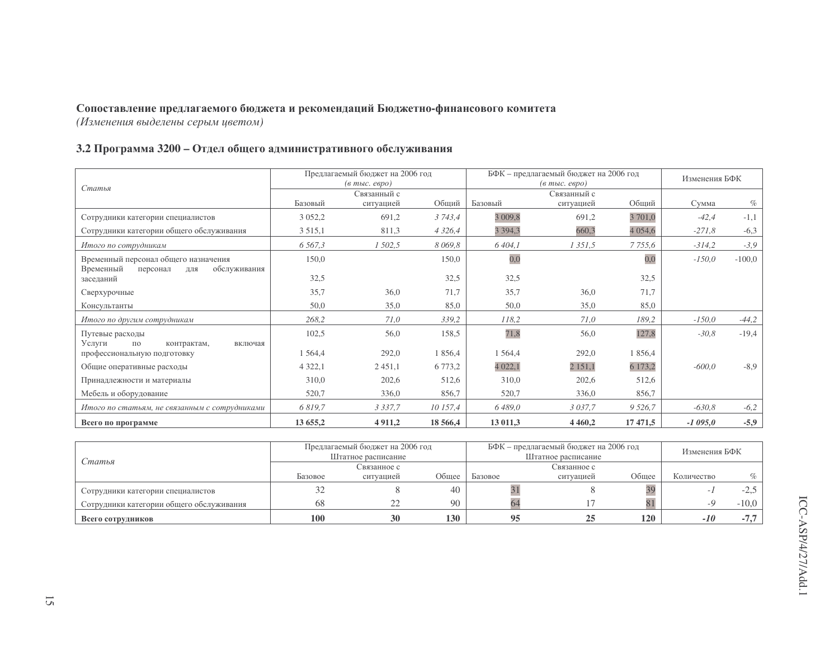(Изменения выделены серым цветом)

#### 3.2 Программа 3200 – Отдел общего административного обслуживания

|                                                                                       |             | Предлагаемый бюджет на 2006 год<br>$(a \text{ molc.} \text{ espo})$ |             |            | БФК - предлагаемый бюджет на 2006 год<br>$(e$ m <sub>bl</sub> $c$ , eepo) |             | Изменения БФК |          |
|---------------------------------------------------------------------------------------|-------------|---------------------------------------------------------------------|-------------|------------|---------------------------------------------------------------------------|-------------|---------------|----------|
| Статья                                                                                |             | Связанный с                                                         |             |            | Связанный с                                                               |             |               |          |
|                                                                                       | Базовый     | ситуацией                                                           | Общий       | Базовый    | ситуацией                                                                 | Общий       | Сумма         | $\%$     |
| Сотрудники категории специалистов                                                     | 3 0 5 2 , 2 | 691,2                                                               | 3743,4      | 3 0 0 9, 8 | 691,2                                                                     | 3701,0      | $-42,4$       | $-1,1$   |
| Сотрудники категории общего обслуживания                                              | 3 5 1 5 , 1 | 811,3                                                               | 4 3 2 6, 4  | 3 3 9 4 3  | 660,3                                                                     | 4 0 5 4 , 6 | $-271,8$      | $-6,3$   |
| Итого по сотрудникам                                                                  | 6 5 6 7, 3  | 1 502,5                                                             | 8 069,8     | 6 404,1    | 1 351,5                                                                   | 7755,6      | $-314,2$      | $-3,9$   |
| Временный персонал общего назначения                                                  | 150,0       |                                                                     | 150,0       | $_{0,0}$   |                                                                           | $_{0,0}$    | $-150,0$      | $-100,0$ |
| Временный<br>персонал<br>обслуживания<br>ДЛЯ<br>заседаний                             | 32,5        |                                                                     | 32,5        | 32,5       |                                                                           | 32,5        |               |          |
| Сверхурочные                                                                          | 35,7        | 36,0                                                                | 71,7        | 35,7       | 36,0                                                                      | 71,7        |               |          |
| Консультанты                                                                          | 50,0        | 35,0                                                                | 85,0        | 50,0       | 35,0                                                                      | 85,0        |               |          |
| Итого по другим сотрудникам                                                           | 268,2       | 71,0                                                                | 339,2       | 118,2      | 71,0                                                                      | 189,2       | $-150,0$      | $-44,2$  |
| Путевые расходы                                                                       | 102,5       | 56,0                                                                | 158,5       | 71,8       | 56,0                                                                      | 127,8       | $-30,8$       | $-19,4$  |
| Услуги<br>$\Pi$ <sup>O</sup><br>контрактам,<br>включая<br>профессиональную подготовку | 1564,4      | 292,0                                                               | 1856,4      | 1564,4     | 292,0                                                                     | 1856,4      |               |          |
| Общие оперативные расходы                                                             | 4 3 2 2 , 1 | 2 4 5 1 , 1                                                         | 6 7 7 3 , 2 | 4 0 2 2, 1 | 2 151,1                                                                   | 6 173,2     | $-600.0$      | $-8,9$   |
| Принадлежности и материалы                                                            | 310,0       | 202,6                                                               | 512,6       | 310,0      | 202,6                                                                     | 512,6       |               |          |
| Мебель и оборудование                                                                 | 520,7       | 336,0                                                               | 856,7       | 520,7      | 336,0                                                                     | 856,7       |               |          |
| Итого по статьям, не связанным с сотрудниками                                         | 6 819,7     | 3 3 3 7 , 7                                                         | 10 157,4    | 6489,0     | 3 0 3 7 , 7                                                               | 9 5 26,7    | $-630,8$      | $-6,2$   |
| Всего по программе                                                                    | 13 655,2    | 4911,2                                                              | 18 566,4    | 13 011,3   | 4 4 6 0, 2                                                                | 17 471,5    | $-1095,0$     | $-5,9$   |

| татья                                    | Предлагаемый бюджет на 2006 год<br>Штатное расписание |           |       | БФК – предлагаемый бюджет на 2006 год<br>Штатное расписание |           |       | Изменения БФК |         |
|------------------------------------------|-------------------------------------------------------|-----------|-------|-------------------------------------------------------------|-----------|-------|---------------|---------|
|                                          | Связанное с                                           |           |       | Связанное с                                                 |           |       |               |         |
|                                          | Базовое                                               | ситуацией | Обшее | Базовое                                                     | ситуацией | Обшее | Количество    | $\%$    |
| Сотрудники категории специалистов        | 32                                                    |           | 40    |                                                             |           | 39    |               | $-2,5$  |
| Сотрудники категории общего обслуживания | 68                                                    |           | 90    |                                                             |           |       |               | $-10.0$ |
| Всего сотрудников                        | 100                                                   | 30        | 130   | 95                                                          | 25        | 120   | -10           | $-7.7$  |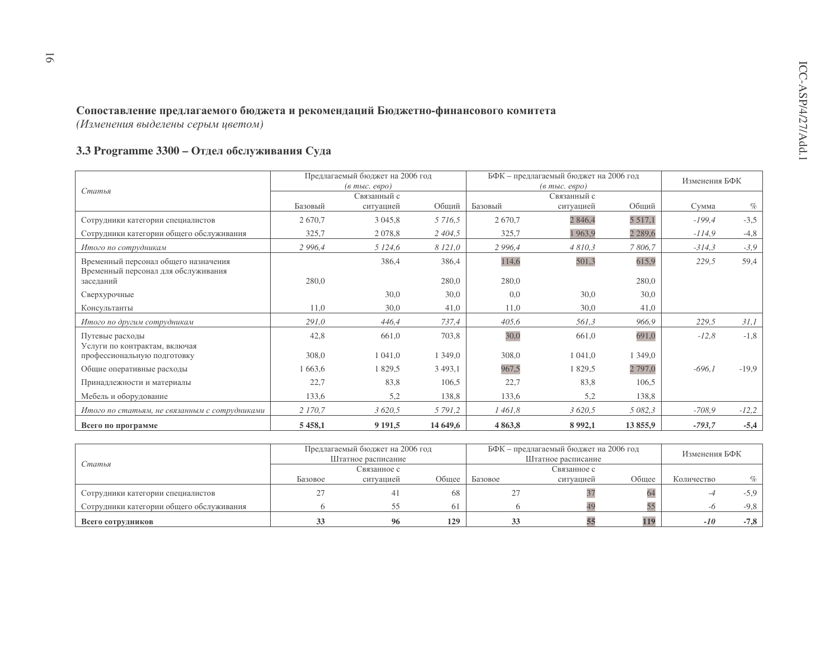(Изменения выделены серым цветом)

#### **3.3 Programme 3300 – Отдел обслуживания Суда**

|                                                              |             | Предлагаемый бюджет на 2006 год<br>$(a \text{ molc.} \text{ espo})$ |             |            | БФК - предлагаемый бюджет на 2006 год<br>$(a \text{ molc.} \text{ espo})$ |             | Изменения БФК |         |
|--------------------------------------------------------------|-------------|---------------------------------------------------------------------|-------------|------------|---------------------------------------------------------------------------|-------------|---------------|---------|
| Статья                                                       |             | Связанный с                                                         |             |            | Связанный с                                                               |             |               |         |
|                                                              | Базовый     | ситуацией                                                           | Общий       | Базовый    | ситуацией                                                                 | Общий       | Сумма         | $\%$    |
| Сотрудники категории специалистов                            | 2670,7      | 3 0 4 5 , 8                                                         | 5 716,5     | 2670,7     | 2 8 4 6, 4                                                                | 5 5 1 7, 1  | $-199,4$      | $-3,5$  |
| Сотрудники категории общего обслуживания                     | 325,7       | 2 0 78,8                                                            | 2 404,5     | 325,7      | 1963,9                                                                    | 2 2 8 9 , 6 | $-114,9$      | $-4,8$  |
| Итого по сотрудникам                                         | 2 9 9 6, 4  | 5 1 24,6                                                            | 8 121,0     | 2 9 9 6, 4 | 4 810,3                                                                   | 7806,7      | $-314,3$      | $-3,9$  |
| Временный персонал общего назначения                         |             | 386,4                                                               | 386,4       | 114,6      | 501,3                                                                     | 615,9       | 229,5         | 59,4    |
| Временный персонал для обслуживания<br>заседаний             | 280,0       |                                                                     | 280,0       | 280,0      |                                                                           | 280,0       |               |         |
| Сверхурочные                                                 |             | 30,0                                                                | 30,0        | 0,0        | 30,0                                                                      | 30,0        |               |         |
| Консультанты                                                 | 11,0        | 30,0                                                                | 41,0        | 11,0       | 30,0                                                                      | 41,0        |               |         |
| Итого по другим сотрудникам                                  | 291,0       | 446,4                                                               | 737,4       | 405,6      | 561,3                                                                     | 966,9       | 229,5         | 31,1    |
| Путевые расходы                                              | 42,8        | 661,0                                                               | 703,8       | 30,0       | 661,0                                                                     | 691,0       | $-12,8$       | $-1,8$  |
| Услуги по контрактам, включая<br>профессиональную подготовку | 308,0       | 1 041,0                                                             | 1 3 4 9 , 0 | 308,0      | 1 041,0                                                                   | 1 3 4 9 , 0 |               |         |
| Общие оперативные расходы                                    | 1 663,6     | 1829,5                                                              | 3 4 9 3 , 1 | 967,5      | 1829,5                                                                    | 2797,0      | $-696,1$      | $-19.9$ |
| Принадлежности и материалы                                   | 22,7        | 83,8                                                                | 106,5       | 22,7       | 83,8                                                                      | 106,5       |               |         |
| Мебель и оборудование                                        | 133,6       | 5,2                                                                 | 138,8       | 133,6      | 5,2                                                                       | 138,8       |               |         |
| Итого по статьям, не связанным с сотрудниками                | 2 170,7     | 3 620,5                                                             | 5 791,2     | 1461,8     | 3 620,5                                                                   | 5 082,3     | $-708,9$      | $-12,2$ |
| Всего по программе                                           | 5 4 5 8 , 1 | 9 1 9 1,5                                                           | 14 649,6    | 4863,8     | 8 9 9 2, 1                                                                | 13855,9     | $-793,7$      | $-5,4$  |

| <u>'татья</u>                            | Предлагаемый бюджет на 2006 год<br>Штатное расписание |             |       |         | БФК – предлагаемый бюджет на 2006 год<br>Штатное расписание |       | Изменения БФК |        |
|------------------------------------------|-------------------------------------------------------|-------------|-------|---------|-------------------------------------------------------------|-------|---------------|--------|
|                                          |                                                       | Связанное с |       |         | Связанное с                                                 |       |               |        |
|                                          | Базовое                                               | ситуацией   | Обшее | Базовое | ситуацией                                                   | Обшее | Количество    | $\%$   |
| Сотрудники категории специалистов        | 21                                                    |             | 68    |         |                                                             |       |               | $-5.9$ |
| Сотрудники категории общего обслуживания |                                                       |             | 61    |         |                                                             |       |               | $-9,8$ |
| Всего сотрудников                        |                                                       | 96          | 129   |         |                                                             | 119   | $-10$         | $-7,8$ |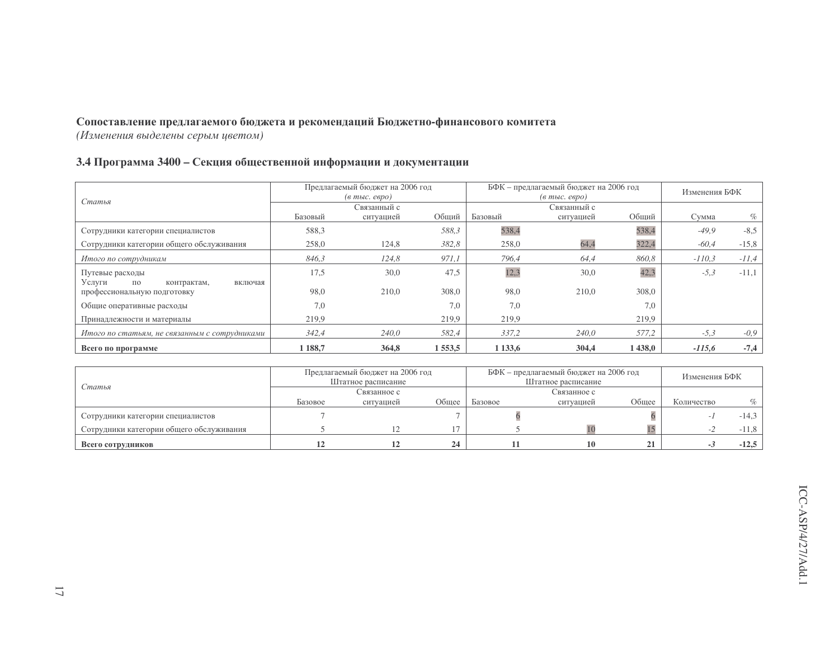(Изменения выделены серым цветом)

#### 3.4 Программа 3400 – Секция общественной информации и документации

|                                                        | Предлагаемый бюджет на 2006 год<br>$(a \text{ mol.} \text{ e}\text{e} \text{p}o)$ |             |             | БФК - предлагаемый бюджет на 2006 год<br>$(a \text{ into.} \text{~e}$ gpo $)$ |             |        | Изменения БФК |         |
|--------------------------------------------------------|-----------------------------------------------------------------------------------|-------------|-------------|-------------------------------------------------------------------------------|-------------|--------|---------------|---------|
| Статья                                                 |                                                                                   | Связанный с |             |                                                                               | Связанный с |        |               |         |
|                                                        | Базовый                                                                           | ситуацией   | Общий       | Базовый                                                                       | ситуацией   | Обший  | Сумма         | $\%$    |
| Сотрудники категории специалистов                      | 588,3                                                                             |             | 588,3       | 538,4                                                                         |             | 538,4  | $-49,9$       | $-8,5$  |
| Сотрудники категории общего обслуживания               | 258,0                                                                             | 124,8       | 382,8       | 258,0                                                                         | 64,4        | 322,4  | $-60,4$       | $-15,8$ |
| Итого по сотрудникам                                   | 846,3                                                                             | 124,8       | 971,1       | 796,4                                                                         | 64,4        | 860,8  | $-110,3$      | $-11,4$ |
| Путевые расходы                                        | 17,5                                                                              | 30,0        | 47,5        | 12,3                                                                          | 30,0        | 42,3   | $-5,3$        | $-11,1$ |
| Услуги<br>включая<br>$\Pi$ <sup>O</sup><br>контрактам, |                                                                                   |             |             |                                                                               |             |        |               |         |
| профессиональную подготовку                            | 98,0                                                                              | 210,0       | 308.0       | 98,0                                                                          | 210.0       | 308,0  |               |         |
| Общие оперативные расходы                              | 7,0                                                                               |             | 7.0         | 7,0                                                                           |             | 7,0    |               |         |
| Принадлежности и материалы                             | 219,9                                                                             |             | 219,9       | 219,9                                                                         |             | 219,9  |               |         |
| Итого по статьям, не связанным с сотрудниками          | 342,4                                                                             | 240,0       | 582,4       | 337,2                                                                         | 240,0       | 577,2  | $-5.3$        | $-0,9$  |
| Всего по программе                                     | 188,7                                                                             | 364,8       | 1 5 5 3 , 5 | 1 1 3 3 , 6                                                                   | 304,4       | 1438,0 | $-115,6$      | $-7,4$  |

| Статья                                   | Предлагаемый бюджет на 2006 год<br>Штатное расписание |             |       |         |             |       | БФК – предлагаемый бюджет на 2006 год<br>Штатное расписание |         | Изменения БФК |  |
|------------------------------------------|-------------------------------------------------------|-------------|-------|---------|-------------|-------|-------------------------------------------------------------|---------|---------------|--|
|                                          |                                                       | Связанное с |       |         | ∴вязанное с |       |                                                             |         |               |  |
|                                          | Базовое                                               | ситуацией   | Обшее | Базовое | ситуацией   | Обшее | Количество                                                  |         |               |  |
| Сотрудники категории специалистов        |                                                       |             |       |         |             |       |                                                             | $-14.3$ |               |  |
| Сотрудники категории общего обслуживания |                                                       |             |       |         |             |       |                                                             | $-11,8$ |               |  |
| Всего сотрудников                        |                                                       |             | 24    |         | 10          | 41    |                                                             | $-12,5$ |               |  |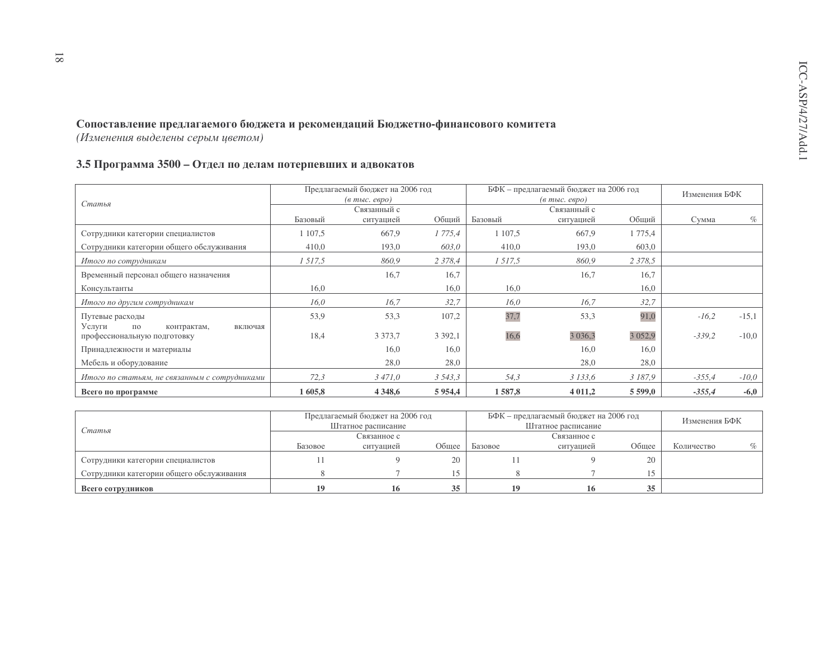(Изменения выделены серым цветом)

#### 3.5 Программа 3500 – Отдел по делам потерпевших и адвокатов

|                                                                             | Предлагаемый бюджет на 2006 год<br>$(a \text{ mol.} \text{ e }\text{e}\text{po})$ |             |             |         | БФК - предлагаемый бюджет на 2006 год<br>$(a \text{ molc.} \text{ espo})$ |             | Изменения БФК |         |
|-----------------------------------------------------------------------------|-----------------------------------------------------------------------------------|-------------|-------------|---------|---------------------------------------------------------------------------|-------------|---------------|---------|
| Статья                                                                      |                                                                                   | Связанный с |             |         | Связанный с                                                               |             |               |         |
|                                                                             | Базовый                                                                           | ситуацией   | Общий       | Базовый | ситуацией                                                                 | Общий       | Сумма         | $\%$    |
| Сотрудники категории специалистов                                           | 1 107,5                                                                           | 667,9       | 1775,4      | 1 107.5 | 667,9                                                                     | 1 775,4     |               |         |
| Сотрудники категории общего обслуживания                                    | 410,0                                                                             | 193,0       | 603,0       | 410,0   | 193,0                                                                     | 603,0       |               |         |
| Итого по сотрудникам                                                        | 1517,5                                                                            | 860,9       | 2 3 7 8, 4  | 1517,5  | 860,9                                                                     | 2 3 7 8 , 5 |               |         |
| Временный персонал общего назначения                                        |                                                                                   | 16,7        | 16,7        |         | 16,7                                                                      | 16,7        |               |         |
| Консультанты                                                                | 16,0                                                                              |             | 16,0        | 16,0    |                                                                           | 16,0        |               |         |
| Итого по другим сотрудникам                                                 | 16,0                                                                              | 16,7        | 32,7        | 16,0    | 16,7                                                                      | 32,7        |               |         |
| Путевые расходы<br>Услуги                                                   | 53,9                                                                              | 53,3        | 107,2       | 37,7    | 53,3                                                                      | 91,0        | $-16,2$       | $-15,1$ |
| $\Pi$ <sup>O</sup><br>контрактам,<br>включая<br>профессиональную подготовку | 18,4                                                                              | 3 3 7 3 , 7 | 3 3 9 2 , 1 | 16,6    | 3 0 3 6 , 3                                                               | 3 0 5 2, 9  | $-339,2$      | $-10,0$ |
| Принадлежности и материалы                                                  |                                                                                   | 16,0        | 16,0        |         | 16,0                                                                      | 16,0        |               |         |
| Мебель и оборудование                                                       |                                                                                   | 28,0        | 28,0        |         | 28,0                                                                      | 28,0        |               |         |
| Итого по статьям, не связанным с сотрудниками                               | 72,3                                                                              | 3471,0      | 3543.3      | 54,3    | 3 133,6                                                                   | 3 187,9     | $-355,4$      | $-10,0$ |
| Всего по программе                                                          | 1605.8                                                                            | 4 3 4 8 . 6 | 5 9 5 4 4   | 1587.8  | 4 0 1 1.2                                                                 | 5 599,0     | $-355,4$      | $-6,0$  |

| <u>'татья</u>                            | Предлагаемый бюджет на 2006 год<br>Штатное расписание |             |       |         | БФК – предлагаемый бюджет на 2006 год<br>Штатное расписание |       | Изменения БФК |  |
|------------------------------------------|-------------------------------------------------------|-------------|-------|---------|-------------------------------------------------------------|-------|---------------|--|
|                                          |                                                       | Связанное с |       |         | Связанное с                                                 |       |               |  |
|                                          | Базовое                                               | ситуацией   | Обшее | Базовое | ситуацией                                                   | Обшее | Количество    |  |
| Сотрудники категории специалистов        |                                                       |             | 20    |         |                                                             | 20    |               |  |
| Сотрудники категории общего обслуживания |                                                       |             |       |         |                                                             |       |               |  |
| Всего сотрудников                        | 19                                                    |             | 35    | 19      | 16                                                          | 35    |               |  |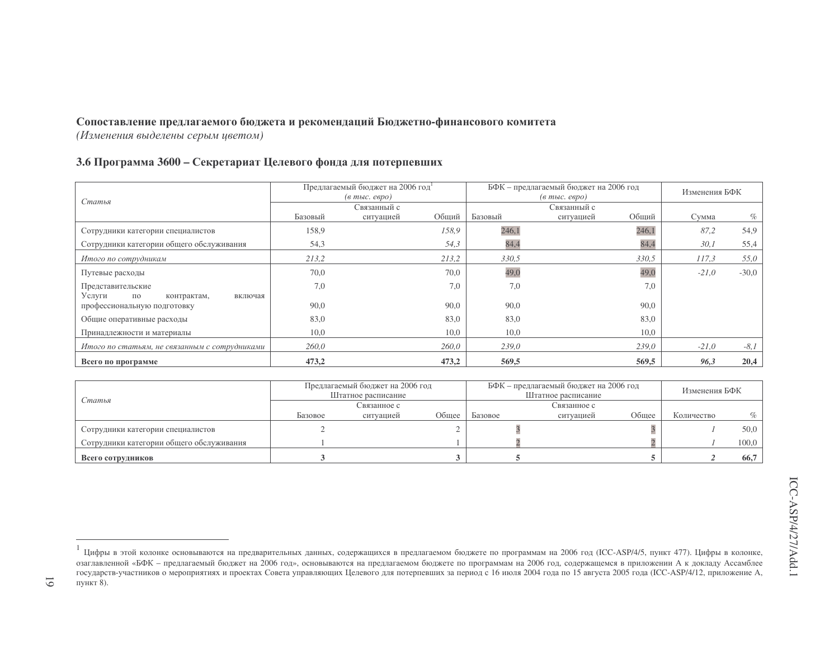(Изменения выделены серым цветом)

#### 3.6 Программа 3600 – Секретариат Целевого фонда для потерпевших

|                                                        |         | Предлагаемый бюджет на 2006 год <sup>1</sup><br>$(a \text{ mol.} \text{ espo})$ |       |         | БФК - предлагаемый бюджет на 2006 год<br>$(a \text{ mol.} \text{ e }\text{e}\text{ }p\text{ }o)$ |       |         | Изменения БФК |
|--------------------------------------------------------|---------|---------------------------------------------------------------------------------|-------|---------|--------------------------------------------------------------------------------------------------|-------|---------|---------------|
| Статья                                                 |         | Связанный с                                                                     |       |         | Связанный с                                                                                      |       |         |               |
|                                                        | Базовый | ситуацией                                                                       | Общий | Базовый | ситуацией                                                                                        | Общий | Сумма   | $\%$          |
| Сотрудники категории специалистов                      | 158,9   |                                                                                 | 158,9 | 246,1   |                                                                                                  | 246,1 | 87,2    | 54,9          |
| Сотрудники категории общего обслуживания               | 54,3    |                                                                                 | 54,3  | 84,4    |                                                                                                  | 84,4  | 30,1    | 55,4          |
| Итого по сотрудникам                                   | 213,2   |                                                                                 | 213,2 | 330,5   |                                                                                                  | 330,5 | 117,3   | 55,0          |
| Путевые расходы                                        | 70,0    |                                                                                 | 70,0  | 49,0    |                                                                                                  | 49,0  | $-21,0$ | $-30,0$       |
| Представительские                                      | 7,0     |                                                                                 | 7,0   | 7,0     |                                                                                                  | 7,0   |         |               |
| Услуги<br>$\Pi$ <sup>O</sup><br>включая<br>контрактам, |         |                                                                                 |       |         |                                                                                                  |       |         |               |
| профессиональную подготовку                            | 90,0    |                                                                                 | 90,0  | 90,0    |                                                                                                  | 90,0  |         |               |
| Общие оперативные расходы                              | 83,0    |                                                                                 | 83,0  | 83,0    |                                                                                                  | 83,0  |         |               |
| Принадлежности и материалы                             | 10,0    |                                                                                 | 10,0  | 10,0    |                                                                                                  | 10,0  |         |               |
| Итого по статьям, не связанным с сотрудниками          | 260,0   |                                                                                 | 260,0 | 239,0   |                                                                                                  | 239,0 | $-21,0$ | $-8,1$        |
| Всего по программе                                     | 473,2   |                                                                                 | 473,2 | 569,5   |                                                                                                  | 569,5 | 96,3    | 20,4          |

| Статья                                   | Предлагаемый бюджет на 2006 год<br>Штатное расписание |             |       |         |             | БФК – предлагаемый бюджет на 2006 год<br>Штатное расписание |            |       | Изменения БФК |  |
|------------------------------------------|-------------------------------------------------------|-------------|-------|---------|-------------|-------------------------------------------------------------|------------|-------|---------------|--|
|                                          |                                                       | Связанное с |       |         | Связанное с |                                                             |            |       |               |  |
|                                          | Базовое                                               | ситуацией   | Обшее | Базовое | ситуацией   | Обшее                                                       | Количество |       |               |  |
| Сотрудники категории специалистов        |                                                       |             |       |         |             |                                                             |            | 50,0  |               |  |
| Сотрудники категории общего обслуживания |                                                       |             |       |         |             |                                                             |            | 100,0 |               |  |
| Всего сотрудников                        |                                                       |             |       |         |             |                                                             |            | 66.7  |               |  |

 $^1$  Цифры в этой колонке основываются на предварительных данных, содержащихся в предлагаемом бюджете по программам на 2006 год (ICC-ASP/4/5, пункт 477). Цифры в колонке, озаглавленной «БФК – предлагаемый бюджет на 2006 год», основываются на предлагаемом бюджете по программам на 2006 год, содержащемся в приложении А к докладу Ассамблее государств-участников о мероприятиях и проектах Совета управляющих Целевого для потерпевших за период с 16 июля 2004 года по 15 августа 2005 года (ICC-ASP/4/12, приложение А, пункт 8).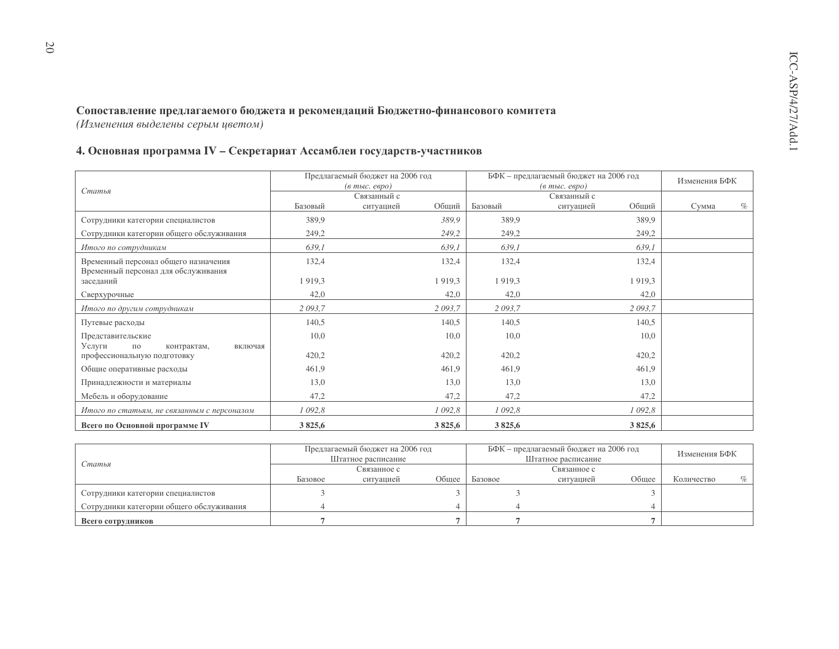(Изменения выделены серым цветом)

#### 4. Основная программа IV – Секретариат Ассамблеи государств-участников

|                                                                                       |         | Предлагаемый бюджет на 2006 год<br>$(a \text{ mbc.} \text{ espo})$ |         |         | БФК - предлагаемый бюджет на 2006 год<br>$(a \text{ molc.} \text{ espo})$ | Изменения БФК |   |
|---------------------------------------------------------------------------------------|---------|--------------------------------------------------------------------|---------|---------|---------------------------------------------------------------------------|---------------|---|
| Статья                                                                                |         | Связанный с                                                        |         |         | Связанный с                                                               |               |   |
|                                                                                       | Базовый | ситуацией                                                          | Общий   | Базовый | Общий<br>ситуацией                                                        | Сумма         | % |
| Сотрудники категории специалистов                                                     | 389,9   |                                                                    | 389,9   | 389,9   | 389,9                                                                     |               |   |
| Сотрудники категории общего обслуживания                                              | 249,2   |                                                                    | 249,2   | 249,2   | 249,2                                                                     |               |   |
| Итого по сотрудникам                                                                  | 639,1   |                                                                    | 639,1   | 639,1   | 639,1                                                                     |               |   |
| Временный персонал общего назначения                                                  | 132,4   |                                                                    | 132,4   | 132,4   | 132,4                                                                     |               |   |
| Временный персонал для обслуживания<br>заседаний                                      | 1919,3  |                                                                    | 1919,3  | 1919.3  | 1919,3                                                                    |               |   |
| Сверхурочные                                                                          | 42,0    |                                                                    | 42,0    | 42,0    | 42,0                                                                      |               |   |
| Итого по другим сотрудникам                                                           | 2 093,7 |                                                                    | 2 093,7 | 2 093,7 | 2 093,7                                                                   |               |   |
| Путевые расходы                                                                       | 140,5   |                                                                    | 140,5   | 140,5   | 140,5                                                                     |               |   |
| Представительские                                                                     | 10,0    |                                                                    | 10,0    | 10,0    | 10,0                                                                      |               |   |
| Услуги<br>$\Pi$ <sup>O</sup><br>контрактам,<br>включая<br>профессиональную подготовку | 420,2   |                                                                    | 420,2   | 420,2   | 420,2                                                                     |               |   |
| Общие оперативные расходы                                                             | 461,9   |                                                                    | 461,9   | 461,9   | 461,9                                                                     |               |   |
| Принадлежности и материалы                                                            | 13,0    |                                                                    | 13,0    | 13,0    | 13,0                                                                      |               |   |
| Мебель и оборудование                                                                 | 47,2    |                                                                    | 47,2    | 47,2    | 47,2                                                                      |               |   |
| Итого по статьям, не связанным с персоналом                                           | 1 092,8 |                                                                    | 1 092,8 | 1 092,8 | 1 092,8                                                                   |               |   |
| Всего по Основной программе IV                                                        | 3825,6  |                                                                    | 3 825,6 | 3 825,6 | 3825,6                                                                    |               |   |

| <u> Этатья</u>                           | Предлагаемый бюджет на 2006 год<br>Штатное расписание |             |       |         | БФК – предлагаемый бюджет на 2006 год<br>Штатное расписание |       | Изменения БФК |  |
|------------------------------------------|-------------------------------------------------------|-------------|-------|---------|-------------------------------------------------------------|-------|---------------|--|
|                                          |                                                       | Связанное с |       |         | Связанное с                                                 |       |               |  |
|                                          | Базовое                                               | ситуацией   | Обшее | Базовое | ситуацией                                                   | Общее | Количество    |  |
| Сотрудники категории специалистов        |                                                       |             |       |         |                                                             |       |               |  |
| Сотрудники категории общего обслуживания |                                                       |             |       |         |                                                             |       |               |  |
| Всего сотрудников                        |                                                       |             |       |         |                                                             |       |               |  |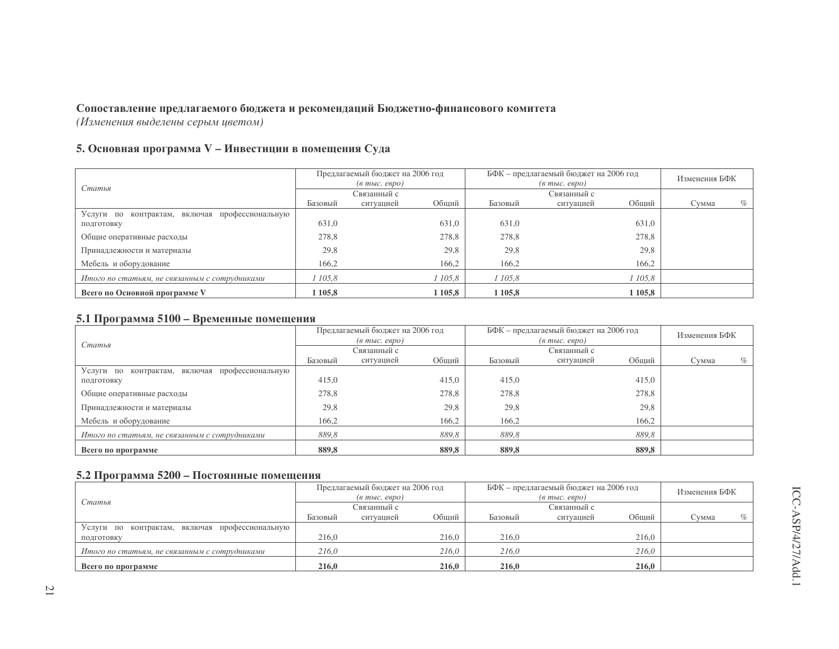(Изменения выделены серым цветом)

#### 5. Основная программа V – Инвестиции в помещения Суда

|                                                |         | Предлагаемый бюджет на 2006 год<br>$(a \text{ mole.} \text{~} (6)$ |         |             | БФК – предлагаемый бюджет на 2006 год<br>$(e$ m <sub>bl</sub> $c$ , espo $)$ |             | Изменения БФК |   |
|------------------------------------------------|---------|--------------------------------------------------------------------|---------|-------------|------------------------------------------------------------------------------|-------------|---------------|---|
| Статья                                         |         | Связанный с                                                        |         |             | Связанный с                                                                  |             |               |   |
|                                                | Базовый | ситуацией                                                          | Обший   | Базовый     | ситуацией                                                                    | Обший       | Сумма         | % |
| Услуги по контрактам, включая профессиональную |         |                                                                    |         |             |                                                                              |             |               |   |
| ПОДГОТОВКУ                                     | 631,0   |                                                                    | 631,0   | 631,0       |                                                                              | 631,0       |               |   |
| Общие оперативные расходы                      | 278,8   |                                                                    | 278,8   | 278,8       |                                                                              | 278,8       |               |   |
| Принадлежности и материалы                     | 29,8    |                                                                    | 29,8    | 29,8        |                                                                              | 29,8        |               |   |
| Мебель и оборудование                          | 166,2   |                                                                    | 166.2   | 166.2       |                                                                              | 166.2       |               |   |
| Итого по статьям, не связанным с сотрудниками  | 1 105.8 |                                                                    | 1 105,8 | 1 105,8     |                                                                              | 1 105,8     |               |   |
| Всего по Основной программе V                  | 1 105.8 |                                                                    | 1 105.8 | 1 1 0 5 , 8 |                                                                              | 1 1 0 5 , 8 |               |   |

#### 5.1 Программа 5100 – Временные помещения

|                                                |         | Предлагаемый бюджет на 2006 год<br>$(a \text{ into.} \text{~e8po})$ |       |         | БФК – предлагаемый бюджет на 2006 год<br>$(a \text{ mole.} \text{~} (6)$ |       | Изменения БФК |      |
|------------------------------------------------|---------|---------------------------------------------------------------------|-------|---------|--------------------------------------------------------------------------|-------|---------------|------|
| Статья                                         |         | Связанный с                                                         |       |         | Связанный с                                                              |       |               |      |
|                                                | Базовый | ситуацией                                                           | Общий | Базовый | ситуацией                                                                | Общий | Сумма         | $\%$ |
| Услуги по контрактам, включая профессиональную |         |                                                                     |       |         |                                                                          |       |               |      |
| ПОДГОТОВКУ                                     | 415.0   |                                                                     | 415,0 | 415,0   |                                                                          | 415,0 |               |      |
| Общие оперативные расходы                      | 278,8   |                                                                     | 278,8 | 278,8   |                                                                          | 278,8 |               |      |
| Принадлежности и материалы                     | 29,8    |                                                                     | 29,8  | 29,8    |                                                                          | 29,8  |               |      |
| Мебель и оборудование                          | 166,2   |                                                                     | 166,2 | 166,2   |                                                                          | 166,2 |               |      |
| Итого по статьям, не связанным с сотрудниками  | 889,8   |                                                                     | 889.8 | 889,8   |                                                                          | 889,8 |               |      |
| Всего по программе                             | 889,8   |                                                                     | 889,8 | 889,8   |                                                                          | 889,8 |               |      |

#### 5.2 Программа 5200 – Постоянные помещения

| Статья                                         | Предлагаемый бюджет на 2006 год<br>$(a \text{ molc.} \text{ espo})$ |           |             | БФК – предлагаемый бюджет на 2006 год<br>$(a \text{ mole.} \text{~} (6 \text{)}$ |           |       | Изменения БФК |   |
|------------------------------------------------|---------------------------------------------------------------------|-----------|-------------|----------------------------------------------------------------------------------|-----------|-------|---------------|---|
|                                                | Связанный с                                                         |           | Связанный с |                                                                                  |           |       |               |   |
|                                                | Базовый                                                             | ситуацией | Обший       | Базовый                                                                          | ситуацией | Обший | ⊇vмма         | % |
| Услуги по контрактам, включая профессиональную |                                                                     |           |             |                                                                                  |           |       |               |   |
| ПОДГОТОВКУ                                     | 216,0                                                               |           | 216,0       | 216,0                                                                            |           | 216,0 |               |   |
| Итого по статьям, не связанным с сотрудниками  | 216,0                                                               |           | 216.0       | 216,0                                                                            |           | 216.0 |               |   |
| Всего по программе                             | 216.0                                                               |           | 216.0       | 216,0                                                                            |           | 216.0 |               |   |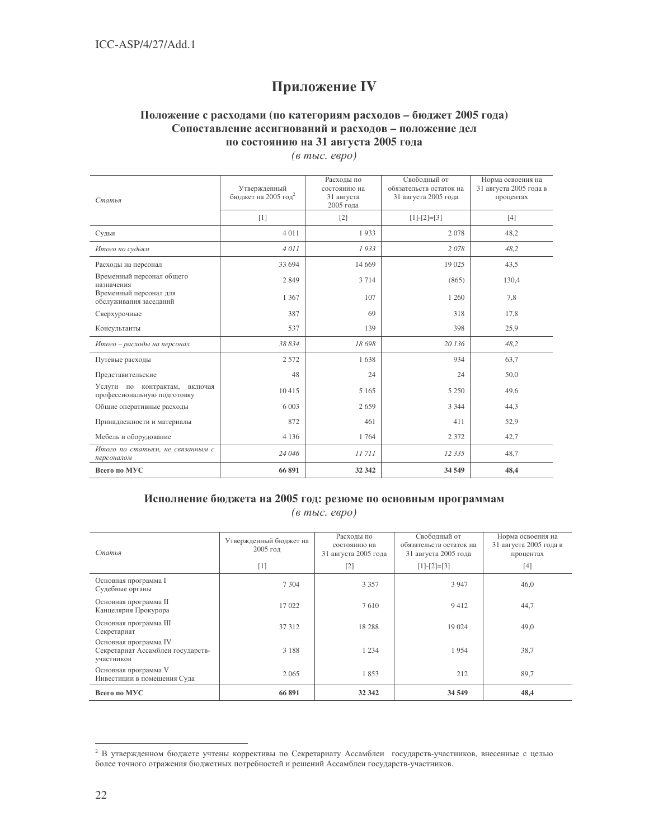# Приложение IV

#### Положение с расходами (по категориям расходов – бюджет 2005 года) Сопоставление ассигнований и расходов - положение дел по состоянию на 31 августа 2005 года

(в тыс. евро)

| Статья                                                       | Утвержденный<br>бюджет на 2005 год <sup>2</sup> | Расхолы по<br>состоянию на<br>31 августа<br>2005 года | Своболный от<br>обязательств остаток на<br>31 августа 2005 года | Норма освоения на<br>31 августа 2005 года в<br>процентах |  |
|--------------------------------------------------------------|-------------------------------------------------|-------------------------------------------------------|-----------------------------------------------------------------|----------------------------------------------------------|--|
|                                                              | [1]                                             | $[2]$                                                 | $[1]$ - $[2]$ = $[3]$                                           | [4]                                                      |  |
| Судьи                                                        | 4 0 1 1                                         | 1933                                                  | 2078                                                            | 48,2                                                     |  |
| Итого по судьям                                              | 4011                                            | 1933                                                  | 2078                                                            | 48,2                                                     |  |
| Расходы на персонал                                          | 33 694                                          | 14 6 69                                               | 19 025                                                          | 43,5                                                     |  |
| Временный персонал общего<br>назначения                      | 2849                                            | 3714                                                  | (865)                                                           | 130,4                                                    |  |
| Временный персонал для<br>обслуживания заседаний             | 1 3 6 7                                         | 107                                                   | 1 260                                                           | 7,8                                                      |  |
| Сверхурочные                                                 | 387                                             | 69                                                    | 318                                                             | 17,8                                                     |  |
| Консультанты                                                 | 537                                             | 139                                                   | 398                                                             | 25,9                                                     |  |
| Итого - расходы на персонал                                  | 38 834                                          | 18 698                                                | 20 136                                                          | 48,2                                                     |  |
| Путевые расходы                                              | 2 5 7 2                                         | 1638                                                  | 934                                                             | 63,7                                                     |  |
| Представительские                                            | 48                                              | 24                                                    | 24                                                              | 50,0                                                     |  |
| Услуги по контрактам, включая<br>профессиональную подготовку | 10415                                           | 5 1 6 5                                               | 5 2 5 0                                                         | 49,6                                                     |  |
| Общие оперативные расходы                                    | 6 0 0 3                                         | 2659                                                  | 3 3 4 4                                                         | 44,3                                                     |  |
| Принадлежности и материалы                                   | 872                                             | 461                                                   | 411                                                             | 52,9                                                     |  |
| Мебель и оборудование                                        | 4 1 3 6                                         | 1764                                                  | 2 3 7 2                                                         | 42,7                                                     |  |
| Итого по статьям, не связанным с<br>персоналом               | 24 046                                          | 11711                                                 | 12 3 35                                                         | 48,7                                                     |  |
| Всего по МУС                                                 | 66 891                                          | 32 342                                                | 34 549                                                          | 48,4                                                     |  |

#### Исполнение бюджета на 2005 год: резюме по основным программам

(в тыс. евро)

| Статья                                                                   | Утвержденный бюджет на<br>$2005$ год<br>[1] | Расходы по<br>состоянию на<br>31 августа 2005 года<br>$[2]$ | Свободный от<br>обязательств остаток на<br>31 августа 2005 года<br>$[1]-[2]=[3]$ | Норма освоения на<br>31 августа 2005 года в<br>процентах<br>[4] |  |
|--------------------------------------------------------------------------|---------------------------------------------|-------------------------------------------------------------|----------------------------------------------------------------------------------|-----------------------------------------------------------------|--|
| Основная программа I<br>Судебные органы                                  | 7 3 0 4                                     | 3 3 5 7                                                     | 3 9 4 7                                                                          | 46,0                                                            |  |
| Основная программа II<br>Канцелярия Прокурора                            | 17 022                                      | 7610                                                        | 9412                                                                             | 44,7                                                            |  |
| Основная программа III<br>Секретариат                                    | 37 312                                      | 18 28 8                                                     | 19 024                                                                           | 49,0                                                            |  |
| Основная программа IV<br>Секретариат Ассамблеи государств-<br>участников | 3 1 8 8                                     | 1 2 3 4                                                     | 1954                                                                             | 38,7                                                            |  |
| Основная программа V<br>Инвестиции в помещения Суда                      | 2 0 6 5                                     | 1853                                                        | 212                                                                              | 89,7                                                            |  |
| Всего по МУС                                                             | 66 891                                      | 32 342                                                      | 34 549                                                                           | 48,4                                                            |  |

 $2^2$  В утвержденном бюджете учтены коррективы по Секретариату Ассамблеи государств-участников, внесенные с целью более точного отражения бюджетных потребностей и решений Ассамблеи государств-участников.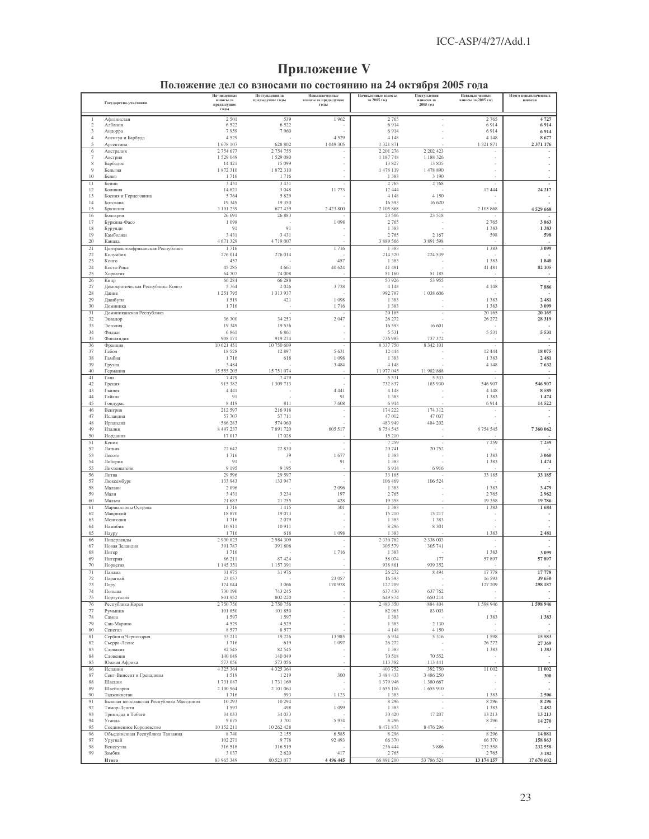# Приложение V

### Положение дел со взносами по состоянию на 24 октября 2005 года

|                     | Государства-участники                                  | Начисленные<br>взносы за<br>предыдущие<br>годы | Поступления за<br>предыдущие годы | Невыплаченные<br>взносы за предыдущие<br>годы | Начисленные взносы<br>за 2005 год | Поступления<br>взносов за<br>2005 год | Невыплаченные<br>взносы за 2005 год | Итого невыплаченных<br>взносов   |
|---------------------|--------------------------------------------------------|------------------------------------------------|-----------------------------------|-----------------------------------------------|-----------------------------------|---------------------------------------|-------------------------------------|----------------------------------|
|                     | Афганистан                                             | 2 5 0 1                                        | 539                               | 1962                                          | 2765                              |                                       | 2765                                | 4727                             |
| $\overline{c}$<br>3 | Албания<br>Андорра                                     | 6 5 2 2<br>7959                                | 6 5 2 2<br>7 9 6 0                |                                               | 6914<br>6914                      |                                       | 6914<br>6914                        | 6914<br>6914                     |
| $\overline{4}$      | Антигуа и Барбуда                                      | 4 5 2 9                                        |                                   | 4 5 2 9                                       | 4 1 4 8                           |                                       | 4 1 4 8                             | 8677                             |
| $\overline{2}$<br>6 | Аргентина<br>Австралия                                 | 1678 107<br>2 754 677                          | 628 802<br>2 7 54 7 55            | 1 049 305                                     | 1 321 871<br>2 201 276            | 2 202 423                             | 1 321 871                           | 2 371 176                        |
| 7                   | Австрия                                                | 1529 049                                       | 1529 080                          |                                               | 1 187 748                         | 1 188 326                             |                                     |                                  |
| 8<br>9              | Барбадос<br>Бельгия                                    | 14 42 1<br>1872 310                            | 15 099<br>1872 310                |                                               | 13 827<br>1 478 119               | 13835<br>1478 890                     |                                     |                                  |
| 10                  | Белиз                                                  | 1716                                           | 1716                              |                                               | 1383                              | 3 1 9 0                               |                                     |                                  |
| 11<br>12            | Бенин<br>Боливия                                       | 3 4 3 1<br>14 821                              | 3 4 3 1<br>3 0 4 8                | 11 773                                        | 2765<br>12 4 4 4                  | 2768                                  | 12 4 4 4                            | 24 217                           |
| 13                  | Босния и Герцеговина                                   | 5 7 6 4                                        | 5 8 2 9                           |                                               | 4 1 4 8                           | 4 1 5 0                               |                                     |                                  |
| 14<br>15            | Ботсвана<br>Бразилия                                   | 19 349<br>3 101 239                            | 19 350<br>677 439                 | 2 4 2 3 8 0 0                                 | 16 593<br>2 105 868               | 16 620                                | 2 105 868                           | 4529668                          |
| 16                  | Болгария                                               | 26 691                                         | 26 883                            |                                               | 23 506                            | 23 518                                |                                     |                                  |
| 17<br>18            | Буркина-Фасо<br>Бурунди                                | 1 0 9 8<br>91                                  | 91                                | 1 0 9 8                                       | 2765<br>1383                      |                                       | 2765<br>1383                        | 3863<br>1383                     |
| 19                  | Камбоджи                                               | 3 4 3 1                                        | 3 4 3 1                           | ×                                             | 2765                              | 2 1 6 7                               | 598                                 | 598                              |
| 20<br>21            | Канада                                                 | 4 671 329<br>1716                              | 4719007                           | 1716                                          | 3 889 566<br>1383                 | 3 891 598                             | 1383                                | 3099                             |
| $22\,$              | Центральноафриканская Республика<br>Колумбия           | 276 014                                        | 276 014                           |                                               | 214 320                           | 224 539                               |                                     |                                  |
| 23<br>24            | Конго<br>Коста-Рика                                    | 457<br>45 28 5                                 | 4 6 6 1                           | 457<br>40 624                                 | 1383<br>41 481                    |                                       | 1383<br>41 481                      | 1840<br>82 105                   |
| 25                  | Хорватия                                               | 64 70 7                                        | 74 008                            |                                               | 51 160                            | 51 185                                |                                     |                                  |
| 26<br>27            | Кипр<br>Демократическая Республика Конго               | 66 284<br>5 7 6 4                              | 66 288<br>2 0 2 6                 | ÷<br>3738                                     | 53 9 26<br>4 1 4 8                | 53 955                                | 4 1 4 8                             | $\overline{\phantom{a}}$<br>7886 |
| 28                  | Дания                                                  | 1 2 5 1 7 9 5                                  | 1 3 1 3 9 3 7                     |                                               | 992 787                           | 1 038 606                             |                                     |                                  |
| 29<br>30            | Джибути<br>Доминика                                    | 1519<br>1716                                   | 421                               | 1 0 9 8<br>1716                               | 1383<br>1383                      |                                       | 1383<br>1 3 8 3                     | 2481<br>3099                     |
| 31                  | Доминиканская Республика                               |                                                |                                   |                                               | 20 165                            |                                       | 20 165                              | 20 165                           |
| 32                  | Эквадор                                                | 36 300                                         | 34 25 3                           | 2 0 4 7                                       | 26 27 2                           |                                       | 26 27 2                             | 28 3 19                          |
| 33<br>34            | Эстония<br>Фиджи                                       | 19 349<br>6 8 6 1                              | 19 536<br>6 8 6 1                 |                                               | 16 593<br>5 5 3 1                 | 16 601                                | 5 5 3 1                             | 5531                             |
| 35                  | Финляндия                                              | 908 171<br>10 621 451                          | 919 274                           |                                               | 736 985                           | 737 372                               |                                     |                                  |
| 36<br>37            | Франция<br>Габон                                       | 18 5 28                                        | 10 750 609<br>12 897              | 5 6 3 1                                       | 8 3 3 7 7 5 0<br>12 4 4 4         | 8 3 4 2 1 0 1                         | 12 444                              | i,<br>18 075                     |
| 38                  | Гамбия                                                 | 1716                                           | 618                               | 1 0 9 8                                       | 1 3 8 3                           |                                       | 1 3 8 3                             | 2481                             |
| 39<br>40            | Грузия<br>Германия                                     | 3 4 8 4<br>15 555 205                          | 15 751 074                        | 3 4 8 4                                       | 4 1 4 8<br>11 977 045             | 11 982 868                            | 4 1 4 8                             | 7632                             |
| 41                  | Гана                                                   | 7479                                           | 7 4 7 9                           | $\overline{\phantom{a}}$                      | 5 5 3 1                           | 5 5 3 3                               |                                     |                                  |
| 42<br>43            | Греция<br>Гвинея                                       | 915 382<br>4 4 4 1                             | 1 309 713                         | 4 4 4 1                                       | 732 837<br>4 1 4 8                | 185 930                               | 546 907<br>4 1 4 8                  | 546 907<br>8589                  |
| 44                  | Гайана                                                 | 91                                             |                                   | 91                                            | 1383                              |                                       | 1383                                | 1474                             |
| 45<br>46            | Гондурас<br>Венгрия                                    | 8 4 1 9<br>212 597                             | 811<br>216 918                    | 7608                                          | 6914<br>174 222                   | 174 312                               | 6914                                | 14522                            |
| 47                  | Исландия                                               | 57 707                                         | 57 711                            |                                               | 47012                             | 47 037                                |                                     |                                  |
| 48<br>49            | Ирландия<br>Италия                                     | 566 283<br>8 497 237                           | 574 060<br>7891720                | 605 517                                       | 483 949<br>6 754 545              | 484 202                               | 6 754 545                           | 7 360 062                        |
| 50                  | Иордания                                               | 17017                                          | 17 028                            |                                               | 15 210                            |                                       |                                     |                                  |
| 51<br>52            | Кения<br>Латвия                                        | 22 642                                         | 22 830                            |                                               | 7 2 5 9<br>20 741                 | 20 752                                | 7 2 5 9                             | 7259                             |
| 53                  | Лесото                                                 | 1716                                           | 39                                | 1677                                          | 1383                              |                                       | 1383                                | 3 0 6 0                          |
| 54<br>55            | Либерия<br>Лихтенштейн                                 | 91<br>9 1 9 5                                  | 9 1 9 5                           | 91                                            | 1383<br>6914                      | 6916                                  | 1383                                | 1474                             |
| 56                  | Литва                                                  | 29 59 6                                        | 29 597                            | ×                                             | 33 185                            |                                       | 33 185                              | 33 185                           |
| 57<br>58            | Люксембург<br>Малави                                   | 133 943<br>2 0 9 6                             | 133 947                           | 2 0 9 6                                       | 106 469<br>1 3 8 3                | 106 524                               | 1383                                | 3 4 7 9                          |
| 59                  | Мали                                                   | 3 4 3 1                                        | 3 2 3 4                           | 197                                           | 2765                              |                                       | 2765                                | 2962                             |
| 60<br>61            | Мальта<br>Маршалловы Острова                           | 21 683<br>1716                                 | 21 255<br>1415                    | 428<br>301                                    | 19 358<br>1383                    |                                       | 19 358<br>1383                      | 19786<br>1684                    |
| 62                  | Маврикий                                               | 18 870                                         | 19 073                            |                                               | 15 210                            | 15 217                                |                                     |                                  |
| 63<br>64            | Монголия<br>Намибия                                    | 1716<br>10 911                                 | 2 0 7 9<br>10 911                 |                                               | 1 3 8 3<br>8 2 9 6                | 1383<br>8 3 0 1                       |                                     |                                  |
| 65                  | Haypy                                                  | 1716                                           | 618                               | 1 0 9 8                                       | 1383                              |                                       | 1383                                | 2481                             |
| 66<br>67            | Нидерланды<br>Новая Зеландия                           | 2 9 3 0 8 2 3<br>391 787                       | 2984309<br>391 806                | $\overline{\phantom{a}}$                      | 2 3 3 6 7 8 2<br>305 579          | 2 3 3 8 0 0 3<br>305 741              |                                     |                                  |
| 68                  | Нигер                                                  | 1716                                           |                                   | 1716                                          | 1383                              |                                       | 1 3 8 3                             | 3099                             |
| 69<br>70            | Нигерия<br>Норвегия                                    | 86 211<br>1 1 45 35 1                          | 87 424<br>1 1 5 7 3 9 1           |                                               | 58 074<br>938 861                 | 177<br>939 352                        | 57897                               | 57897                            |
| 71                  | Панама                                                 | 31 975                                         | 31 976                            |                                               | 26 27 2                           | 8 4 9 4                               | 17778                               | 17778                            |
| $72\,$<br>73        | Парагвай<br>Перу                                       | 23 057<br>174 044                              | 3 0 6 6                           | 23 057<br>170978                              | 16 593<br>127 209                 |                                       | 16 593<br>127 209                   | 39 650<br>298 187                |
| 74                  | Польша                                                 | 730 190                                        | 743 245                           |                                               | 637 430                           | 637 762                               |                                     |                                  |
| 75<br>76            | Португалия<br>Республика Корея                         | 801 952<br>2 750 756                           | 802 220<br>2750756                | $\overline{\phantom{a}}$                      | 649 874<br>2 483 350              | 650 214<br>884 404                    | 1 598 946                           | 1598946                          |
| 77                  | Румыния                                                | 101 850                                        | 101 850                           | ٠                                             | 82 963                            | 83 003                                |                                     |                                  |
| 78<br>79            | Самоа<br>Сан-Марино                                    | 1597<br>4 5 2 9                                | 1597<br>4 5 2 9                   |                                               | 1 3 8 3<br>1383                   | $\overline{\phantom{a}}$<br>2 1 3 0   | 1383<br>٠                           | 1383                             |
| 80                  | Сенегал                                                | 8 5 7 7                                        | 8 5 7 7                           |                                               | 4 1 4 8                           | 4 1 5 0                               |                                     |                                  |
| $8\sqrt{1}$<br>82   | Сербия и Черногория<br>Сьерра-Леоне                    | 33 211<br>1716                                 | 19 22 6<br>619                    | 13 985<br>1 0 9 7                             | 6914<br>26 27 2                   | 5 3 1 6                               | 1598<br>26 27 2                     | 15 583<br>27 369                 |
| 83                  | Словакия                                               | 82 545                                         | 82 545                            | ×                                             | 1383                              |                                       | 1383                                | 1383                             |
| 84<br>85            | Словения<br>Южная Африка                               | 140 049<br>573 056                             | 140 049<br>573 056                | ٠<br>٠                                        | 70 518<br>113 382                 | 70 552<br>113 441                     |                                     | ÷.                               |
| 86                  | Испания                                                | 4 3 2 5 3 6 4                                  | 4 3 2 5 3 6 4                     |                                               | 403 752                           | 392 750                               | 11 002                              | 11 002                           |
| 87<br>$88\,$        | Сент-Винсент и Гренадины<br>Швеция                     | 1519<br>1731087                                | 1 2 1 9<br>1731 169               | 300                                           | 3 484 433<br>1 379 946            | 3 486 250<br>1 380 667                |                                     | 300                              |
| 89                  | Швейцария                                              | 2 100 9 64                                     | 2 101 063                         |                                               | 1 655 106                         | 1655910                               |                                     |                                  |
| 90<br>91            | Таджикистан<br>Бывшая югославская Республика Македония | 1716<br>10 29 3                                | 593<br>10 294                     | 1 1 2 3                                       | 1383<br>8 2 9 6                   | $\sim$                                | 1383<br>8 2 9 6                     | 2506<br>8 2 9 6                  |
| 92                  | Тимор-Лешти                                            | 1597                                           | 498                               | 1 0 9 9                                       | 1383                              |                                       | 1383                                | 2482                             |
| 93<br>94            | Тринидад и Тобаго<br>Уганда                            | 34 033<br>9675                                 | 34 033<br>3 7 0 1                 | 5 9 7 4                                       | 30 4 20<br>8 2 9 6                | 17 207                                | 13 213<br>8 2 9 6                   | 13 213<br>14 270                 |
| 95                  | Соединенное Королевство                                | 10 152 211                                     | 10 262 428                        |                                               | 8 471 873                         | 8 476 296                             |                                     |                                  |
| 96<br>97            | Объединенная Республика Танзания<br>Уругвай            | 8 7 4 0<br>102 271                             | 2 1 5 5<br>9778                   | 6585<br>92 493                                | 8 2 9 6<br>66 370                 |                                       | 8 2 9 6<br>66 370                   | 14881<br>158 863                 |
| 98                  | Венесуэла                                              | 316 518                                        | 316 519                           |                                               | 236 444                           | 3 8 8 6                               | 232 558                             | 232 558                          |
| 99                  | Замбия<br>Итого                                        | 3 0 3 7<br>83 965 349                          | 2 6 2 0<br>80 523 077             | 417<br>4 496 445                              | 2765<br>66 891 200                | 53 786 524                            | 2765<br>13 174 157                  | 3 1 8 2<br>17 670 602            |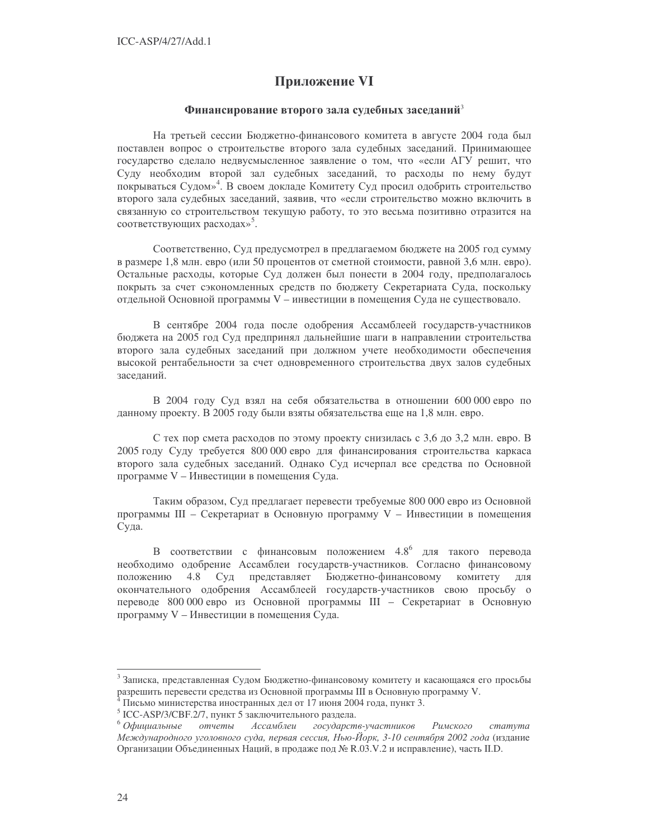## Приложение VI

#### Финансирование второго зала судебных заседаний<sup>3</sup>

На третьей сессии Бюджетно-финансового комитета в августе 2004 года был поставлен вопрос о строительстве второго зала судебных заседаний. Принимающее государство сделало недвусмысленное заявление о том, что «если АГУ решит, что Суду необходим второй зал судебных заседаний, то расходы по нему будут покрываться Судом»<sup>4</sup>. В своем докладе Комитету Суд просил одобрить строительство второго зала судебных заседаний, заявив, что «если строительство можно включить в связанную со строительством текущую работу, то это весьма позитивно отразится на соответствующих расходах»<sup>5</sup>.

Соответственно, Суд предусмотрел в предлагаемом бюджете на 2005 год сумму в размере 1,8 млн. евро (или 50 процентов от сметной стоимости, равной 3,6 млн. евро). Остальные расходы, которые Суд должен был понести в 2004 году, предполагалось покрыть за счет сэкономленных средств по бюджету Секретариата Суда, поскольку отдельной Основной программы V - инвестиции в помещения Суда не существовало.

В сентябре 2004 года после одобрения Ассамблеей государств-участников бюджета на 2005 год Суд предпринял дальнейшие шаги в направлении строительства второго зала судебных заседаний при должном учете необходимости обеспечения высокой рентабельности за счет одновременного строительства двух залов судебных заседаний.

В 2004 году Суд взял на себя обязательства в отношении 600 000 евро по данному проекту. В 2005 году были взяты обязательства еще на 1,8 млн. евро.

С тех пор смета расходов по этому проекту снизилась с 3,6 до 3,2 млн. евро. В 2005 году Суду требуется 800 000 евро для финансирования строительства каркаса второго зала судебных заседаний. Однако Суд исчерпал все средства по Основной программе V - Инвестиции в помещения Суда.

Таким образом, Суд предлагает перевести требуемые 800 000 евро из Основной программы III - Секретариат в Основную программу V - Инвестиции в помещения Суда.

В соответствии с финансовым положением 4.8<sup>6</sup> для такого перевода необходимо одобрение Ассамблеи государств-участников. Согласно финансовому положению 4.8 представляет Бюджетно-финансовому Суд комитету ДЛЯ окончательного одобрения Ассамблеей государств-участников свою просьбу о переводе 800 000 евро из Основной программы III - Секретариат в Основную программу V - Инвестиции в помещения Суда.

<sup>&</sup>lt;sup>3</sup> Записка, представленная Судом Бюджетно-финансовому комитету и касающаяся его просьбы разрешить перевести средства из Основной программы III в Основную программу V.

Письмо министерства иностранных дел от 17 июня 2004 года, пункт 3.

<sup>5</sup> ICC-ASP/3/CBF.2/7, пункт 5 заключительного раздела.

 $6$  Официальные отчеты Ассамблеи государств-участников Римского cmamyma Международного уголовного суда, первая сессия, Нью-Йорк, 3-10 сентября 2002 года (издание Организации Объединенных Наций, в продаже под № R.03.V.2 и исправление), часть II.D.